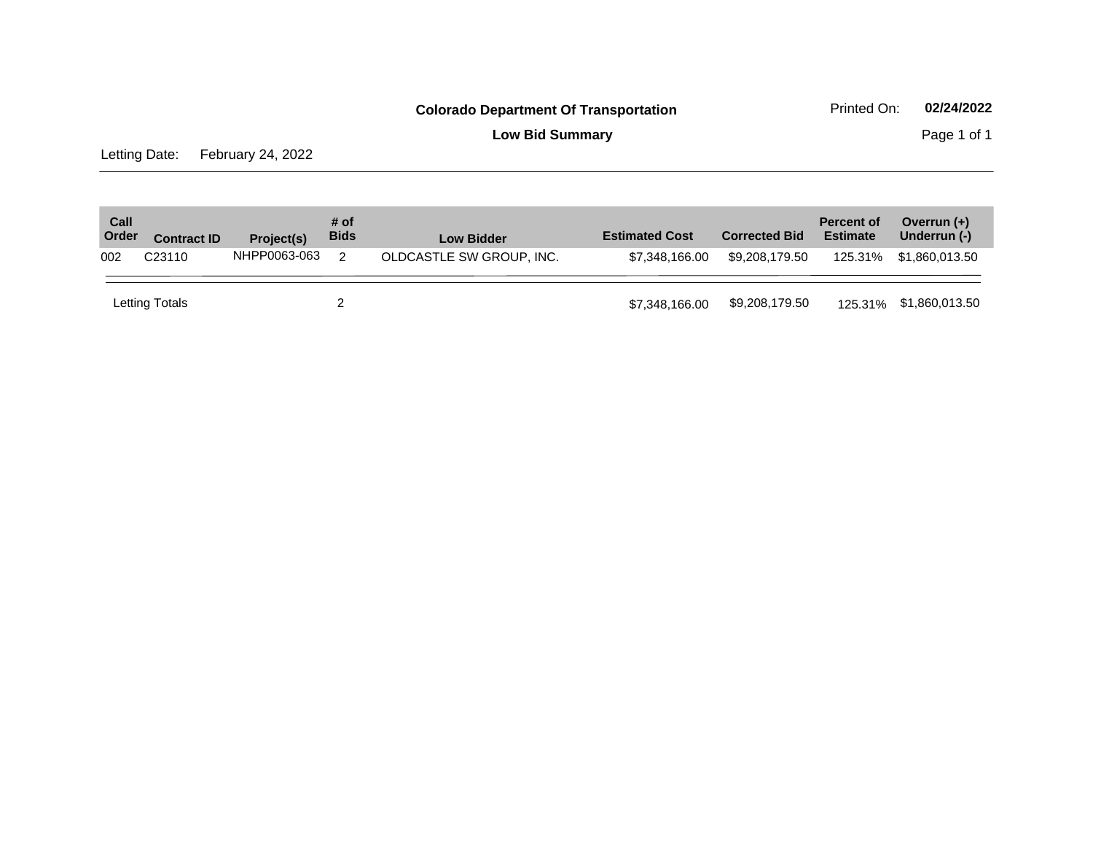**Low Bid Summary Page 1 of 1** 

Letting Date: February 24, 2022

| Call<br>Order | <b>Contract ID</b> | Project(s)   | # of<br><b>Bids</b> | <b>Low Bidder</b>        | <b>Estimated Cost</b> | <b>Corrected Bid</b> | <b>Percent of</b><br><b>Estimate</b> | Overrun $(+)$<br>Underrun (-) |
|---------------|--------------------|--------------|---------------------|--------------------------|-----------------------|----------------------|--------------------------------------|-------------------------------|
| 002           | C <sub>23110</sub> | NHPP0063-063 |                     | OLDCASTLE SW GROUP, INC. | \$7.348.166.00        | \$9.208.179.50       |                                      | 125.31% \$1.860.013.50        |
|               | Letting Totals     |              |                     |                          | \$7,348,166.00        | \$9,208,179.50       |                                      | 125.31% \$1,860,013.50        |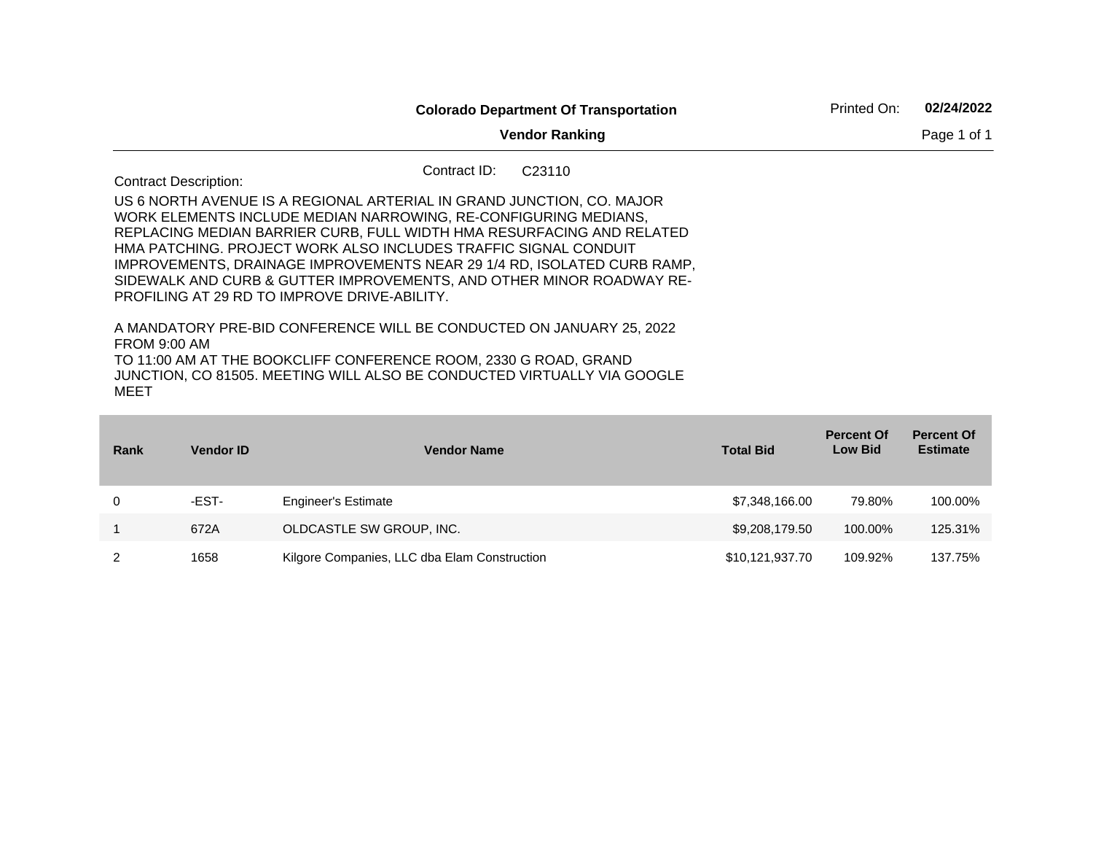|                                                                                                                                                                            | <b>Colorado Department Of Transportation</b><br><b>Vendor Ranking</b><br>Contract ID:<br>C <sub>23110</sub><br>US 6 NORTH AVENUE IS A REGIONAL ARTERIAL IN GRAND JUNCTION. CO. MAJOR<br>WORK ELEMENTS INCLUDE MEDIAN NARROWING, RE-CONFIGURING MEDIANS,<br>REPLACING MEDIAN BARRIER CURB, FULL WIDTH HMA RESURFACING AND RELATED<br>HMA PATCHING. PROJECT WORK ALSO INCLUDES TRAFFIC SIGNAL CONDUIT<br>IMPROVEMENTS, DRAINAGE IMPROVEMENTS NEAR 29 1/4 RD, ISOLATED CURB RAMP,<br>SIDEWALK AND CURB & GUTTER IMPROVEMENTS, AND OTHER MINOR ROADWAY RE-<br><b>PROFILING AT 29 RD TO IMPROVE DRIVE-ABILITY.</b><br>A MANDATORY PRE-BID CONFERENCE WILL BE CONDUCTED ON JANUARY 25, 2022 | Printed On: | 02/24/2022 |             |
|----------------------------------------------------------------------------------------------------------------------------------------------------------------------------|---------------------------------------------------------------------------------------------------------------------------------------------------------------------------------------------------------------------------------------------------------------------------------------------------------------------------------------------------------------------------------------------------------------------------------------------------------------------------------------------------------------------------------------------------------------------------------------------------------------------------------------------------------------------------------------|-------------|------------|-------------|
|                                                                                                                                                                            |                                                                                                                                                                                                                                                                                                                                                                                                                                                                                                                                                                                                                                                                                       |             |            | Page 1 of 1 |
| <b>Contract Description:</b>                                                                                                                                               |                                                                                                                                                                                                                                                                                                                                                                                                                                                                                                                                                                                                                                                                                       |             |            |             |
|                                                                                                                                                                            |                                                                                                                                                                                                                                                                                                                                                                                                                                                                                                                                                                                                                                                                                       |             |            |             |
| <b>FROM 9:00 AM</b><br>TO 11:00 AM AT THE BOOKCLIFF CONFERENCE ROOM, 2330 G ROAD, GRAND<br>JUNCTION, CO 81505. MEETING WILL ALSO BE CONDUCTED VIRTUALLY VIA GOOGLE<br>MEET |                                                                                                                                                                                                                                                                                                                                                                                                                                                                                                                                                                                                                                                                                       |             |            |             |

| Rank | <b>Vendor ID</b> | <b>Vendor Name</b>                           | <b>Total Bid</b> | <b>Percent Of</b><br><b>Low Bid</b> | <b>Percent Of</b><br><b>Estimate</b> |
|------|------------------|----------------------------------------------|------------------|-------------------------------------|--------------------------------------|
|      | -EST-            | <b>Engineer's Estimate</b>                   | \$7,348,166.00   | 79.80%                              | 100.00%                              |
|      | 672A             | OLDCASTLE SW GROUP, INC.                     | \$9,208,179.50   | 100.00%                             | 125.31%                              |
|      | 1658             | Kilgore Companies, LLC dba Elam Construction | \$10,121,937.70  | 109.92%                             | 137.75%                              |

**Contract Contract**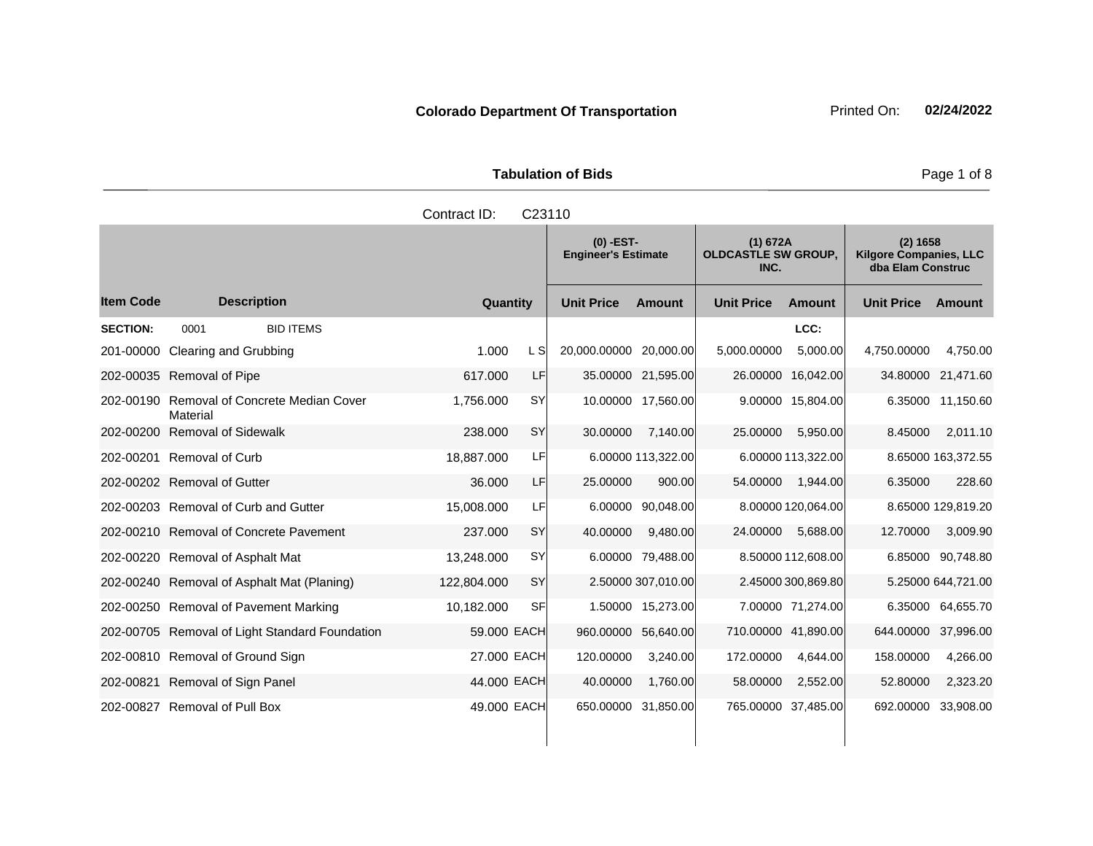**Tabulation of Bids Page 1 of 8** 

| Contract ID:<br>C <sub>23110</sub>          |               |                                           |                                                |                                                                |  |  |
|---------------------------------------------|---------------|-------------------------------------------|------------------------------------------------|----------------------------------------------------------------|--|--|
|                                             |               | $(0)$ -EST-<br><b>Engineer's Estimate</b> | (1) 672A<br><b>OLDCASTLE SW GROUP,</b><br>INC. | (2) 1658<br><b>Kilgore Companies, LLC</b><br>dba Elam Construc |  |  |
| ltem Code<br><b>Description</b>             | Quantity      | <b>Unit Price</b><br><b>Amount</b>        | <b>Unit Price</b><br>Amount                    | <b>Unit Price</b><br>Amount                                    |  |  |
| <b>SECTION:</b><br><b>BID ITEMS</b><br>0001 |               |                                           | LCC:                                           |                                                                |  |  |
| 201-00000 Clearing and Grubbing             | 1.000<br>L SI | 20,000.00000 20,000.00                    | 5,000.00<br>5,000.00000                        | 4,750.00<br>4,750.00000                                        |  |  |
| 202-00035 Removal of Pipe                   | LF<br>617.000 | 35.00000 21,595.00                        | 26.00000 16,042.00                             | 34.80000 21,471.60                                             |  |  |
|                                             |               |                                           |                                                |                                                                |  |  |

# 202-00190 Removal of Concrete Median Cover **Material** 1,756.000 SY 10.00000 17,560.00 9.00000 15,804.00 6.35000 11,150.60 202-00200 Removal of Sidewalk 238.000 SY 30.00000 7,140.00 25.00000 5,950.00 8.45000 2,011.10

202-00201 Removal of Curb 18,887.000 LF 6.00000 113,322.00 6.00000 113,322.00 8.65000 163,372.55 202-00202 Removal of Gutter 36.000 LF 25.00000 900.00 54.00000 1,944.00 6.35000 228.60 202-00203 Removal of Curb and Gutter 15,008.000 LF 6.00000 90,048.00 8.00000 120,064.00 8.65000 129,819.20 202-00210 Removal of Concrete Pavement 237.000 SY 40.00000 9,480.00 24.00000 5,688.00 12.70000 3,009.90 202-00220 Removal of Asphalt Mat 13,248.000 SY 6.00000 79,488.00 8.50000 112,608.00 6.85000 90,748.80 202-00240 Removal of Asphalt Mat (Planing) 122,804.000 SY 2.50000 307,010.00 2.45000 300,869.80 5.25000 644,721.00 202-00250 Removal of Pavement Marking 10,182.000 SF 1.50000 15,273.00 7.00000 71,274.00 6.35000 64,655.70 202-00705 Removal of Light Standard Foundation 59.000 EACH 960.00000 56,640.00 710.00000 41,890.00 644.00000 37,996.00 202-00810 Removal of Ground Sign 27.000 EACH 120.00000 3,240.00 172.00000 4,644.00 158.00000 4,266.00 202-00821 Removal of Sign Panel 44.000 EACH 40.00000 1,760.00 58.00000 2,552.00 52.80000 2,323.20 202-00827 Removal of Pull Box 49.000 EACH 650.00000 31,850.00 765.00000 37,485.00 692.00000 33,908.00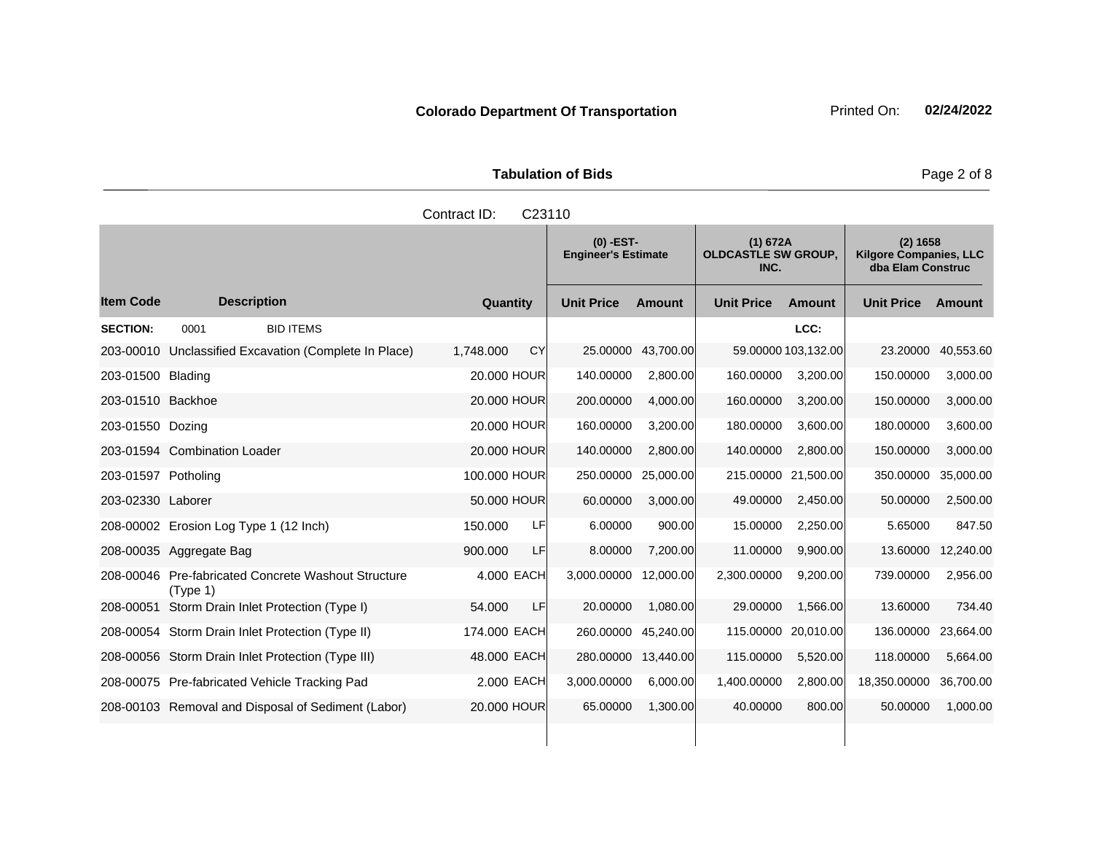| <b>Tabulation of Bids</b> |  |  |  |  |  |  |
|---------------------------|--|--|--|--|--|--|
| Contract ID: C23110       |  |  |  |  |  |  |

|                     |                                                                 |                        | $(0)$ -EST-<br>(1) 672A<br><b>OLDCASTLE SW GROUP,</b><br><b>Engineer's Estimate</b><br>INC. |               | (2) 1658<br><b>Kilgore Companies, LLC</b><br>dba Elam Construc |                     |                   |           |
|---------------------|-----------------------------------------------------------------|------------------------|---------------------------------------------------------------------------------------------|---------------|----------------------------------------------------------------|---------------------|-------------------|-----------|
| <b>Item Code</b>    | <b>Description</b>                                              | Quantity               | <b>Unit Price</b>                                                                           | <b>Amount</b> | <b>Unit Price</b>                                              | <b>Amount</b>       | <b>Unit Price</b> | Amount    |
| <b>SECTION:</b>     | 0001<br><b>BID ITEMS</b>                                        |                        |                                                                                             |               |                                                                | LCC:                |                   |           |
|                     | 203-00010 Unclassified Excavation (Complete In Place)           | <b>CY</b><br>1,748.000 | 25.00000                                                                                    | 43,700.00     |                                                                | 59.00000 103,132.00 | 23.20000          | 40,553.60 |
| 203-01500 Blading   |                                                                 | 20,000 HOUR            | 140.00000                                                                                   | 2.800.00      | 160.00000                                                      | 3,200.00            | 150.00000         | 3,000.00  |
| 203-01510 Backhoe   |                                                                 | 20,000 HOUR            | 200.00000                                                                                   | 4,000.00      | 160.00000                                                      | 3,200.00            | 150.00000         | 3,000.00  |
| 203-01550 Dozing    |                                                                 | 20,000 HOUR            | 160.00000                                                                                   | 3,200.00      | 180.00000                                                      | 3,600.00            | 180.00000         | 3,600.00  |
|                     | 203-01594 Combination Loader                                    | 20,000 HOUR            | 140.00000                                                                                   | 2,800.00      | 140.00000                                                      | 2,800.00            | 150.00000         | 3,000.00  |
| 203-01597 Potholing |                                                                 | 100,000 HOUR           | 250.00000                                                                                   | 25,000.00     |                                                                | 215.00000 21,500.00 | 350.00000         | 35,000.00 |
| 203-02330 Laborer   |                                                                 | 50.000 HOUR            | 60.00000                                                                                    | 3,000.00      | 49.00000                                                       | 2,450.00            | 50.00000          | 2,500.00  |
|                     | 208-00002 Erosion Log Type 1 (12 Inch)                          | LF<br>150.000          | 6.00000                                                                                     | 900.00        | 15.00000                                                       | 2,250.00            | 5.65000           | 847.50    |
|                     | 208-00035 Aggregate Bag                                         | <b>LF</b><br>900,000   | 8.00000                                                                                     | 7,200.00      | 11.00000                                                       | 9,900.00            | 13.60000          | 12,240.00 |
|                     | 208-00046 Pre-fabricated Concrete Washout Structure<br>(Type 1) | 4.000 EACH             | 3,000.00000                                                                                 | 12,000.00     | 2,300.00000                                                    | 9,200.00            | 739.00000         | 2,956.00  |
| 208-00051           | Storm Drain Inlet Protection (Type I)                           | LF<br>54.000           | 20.00000                                                                                    | 1.080.00      | 29.00000                                                       | 1,566.00            | 13.60000          | 734.40    |
|                     | 208-00054 Storm Drain Inlet Protection (Type II)                | 174.000 EACH           | 260.00000                                                                                   | 45,240.00     | 115.00000                                                      | 20,010.00           | 136.00000         | 23,664.00 |
|                     | 208-00056 Storm Drain Inlet Protection (Type III)               | 48.000 EACH            | 280.00000                                                                                   | 13,440.00     | 115.00000                                                      | 5,520.00            | 118.00000         | 5,664.00  |
|                     | 208-00075 Pre-fabricated Vehicle Tracking Pad                   | 2,000 EACH             | 3,000.00000                                                                                 | 6,000.00      | 1,400.00000                                                    | 2,800.00            | 18,350.00000      | 36,700.00 |
|                     | 208-00103 Removal and Disposal of Sediment (Labor)              | 20,000 HOUR            | 65.00000                                                                                    | 1,300.00      | 40.00000                                                       | 800.00              | 50.00000          | 1,000.00  |
|                     |                                                                 |                        |                                                                                             |               |                                                                |                     |                   |           |

Page 2 of 8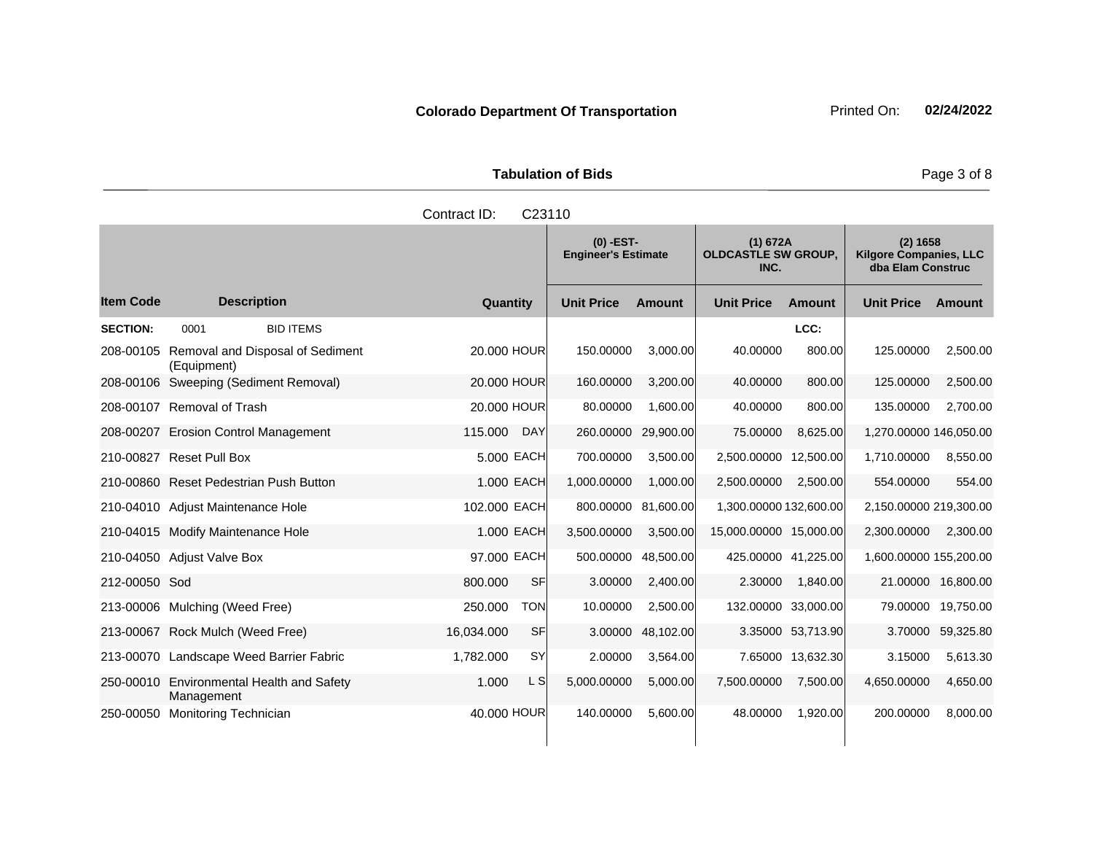**Tabulation of Bids** Page 3 of 8

|                  |                                                                                                                     | Contract ID:<br>C <sub>23110</sub>        |                   |                                                |                          |                                                                |                        |          |
|------------------|---------------------------------------------------------------------------------------------------------------------|-------------------------------------------|-------------------|------------------------------------------------|--------------------------|----------------------------------------------------------------|------------------------|----------|
|                  |                                                                                                                     | $(0)$ -EST-<br><b>Engineer's Estimate</b> |                   | (1) 672A<br><b>OLDCASTLE SW GROUP,</b><br>INC. |                          | (2) 1658<br><b>Kilgore Companies, LLC</b><br>dba Elam Construc |                        |          |
| <b>Item Code</b> | <b>Description</b>                                                                                                  | Quantity                                  | <b>Unit Price</b> | Amount                                         | <b>Unit Price</b>        | <b>Amount</b>                                                  | <b>Unit Price</b>      | Amount   |
| <b>SECTION:</b>  | <b>BID ITEMS</b><br>0001                                                                                            |                                           |                   |                                                |                          | LCC:                                                           |                        |          |
| 208-00105        | Removal and Disposal of Sediment<br>(Equipment)                                                                     | 20,000 HOUR                               | 150.00000         | 3,000.00                                       | 40.00000                 | 800.00                                                         | 125.00000              | 2,500.00 |
| 208-00106        | Sweeping (Sediment Removal)                                                                                         | 20,000 HOUR                               | 160.00000         | 3,200.00                                       | 40.00000                 | 800.00                                                         | 125,00000              | 2,500.00 |
|                  | 208-00107 Removal of Trash                                                                                          | 20.000 HOUR                               | 80.00000          | 1,600.00                                       | 40.00000                 | 800.00                                                         | 135,00000              | 2,700.00 |
| 208-00207        | <b>Erosion Control Management</b>                                                                                   | <b>DAY</b><br>115,000                     | 260,00000         | 29,900.00                                      | 75,00000                 | 8,625.00                                                       | 1,270.00000 146,050.00 |          |
|                  | $0.40.0002$ $\overline{D}_{\text{2}}$ $\overline{D}_{\text{2}}$ $\overline{D}_{\text{2}}$ $\overline{D}_{\text{2}}$ | <b>FOOD FACU</b>                          | 700.0000          | 2.50000                                        | O EAA AAAAA - 10 EAA AAL |                                                                | 1.710.0000             | 0.550.00 |

|               | (Equipment)                               |              |            |             |           |                        |                     |                        |           |
|---------------|-------------------------------------------|--------------|------------|-------------|-----------|------------------------|---------------------|------------------------|-----------|
|               | 208-00106 Sweeping (Sediment Removal)     | 20,000 HOUR  |            | 160.00000   | 3,200.00  | 40.00000               | 800.00              | 125.00000              | 2,500.00  |
|               | 208-00107 Removal of Trash                | 20,000 HOUR  |            | 80.00000    | 1,600.00  | 40.00000               | 800.00              | 135.00000              | 2,700.00  |
|               | 208-00207 Erosion Control Management      | 115,000      | <b>DAY</b> | 260.00000   | 29,900.00 | 75.00000               | 8,625.00            | 1,270.00000 146,050.00 |           |
|               | 210-00827 Reset Pull Box                  |              | 5.000 EACH | 700.00000   | 3,500.00  | 2,500.00000 12,500.00  |                     | 1,710.00000            | 8,550.00  |
|               | 210-00860 Reset Pedestrian Push Button    |              | 1.000 EACH | 1,000.00000 | 1,000.00  | 2,500.00000            | 2,500.00            | 554.00000              | 554.00    |
|               | 210-04010 Adjust Maintenance Hole         | 102.000 EACH |            | 800.00000   | 81,600.00 | 1,300.00000 132,600.00 |                     | 2,150.00000 219,300.00 |           |
|               | 210-04015 Modify Maintenance Hole         |              | 1.000 EACH | 3,500.00000 | 3,500.00  | 15,000.00000 15,000.00 |                     | 2,300.00000            | 2,300.00  |
|               | 210-04050 Adjust Valve Box                | 97.000 EACH  |            | 500.00000   | 48,500.00 | 425.00000 41,225.00    |                     | 1,600.00000 155,200.00 |           |
| 212-00050 Sod |                                           | 800.000      | <b>SF</b>  | 3.00000     | 2,400.00  | 2.30000                | 1,840.00            | 21.00000               | 16,800.00 |
|               | 213-00006 Mulching (Weed Free)            | 250,000      | TON        | 10.00000    | 2,500.00  |                        | 132.00000 33,000.00 | 79.00000               | 19,750.00 |
|               | 213-00067 Rock Mulch (Weed Free)          | 16,034.000   | <b>SF</b>  | 3.00000     | 48,102.00 |                        | 3.35000 53.713.90   | 3.70000                | 59,325.80 |
|               | 213-00070 Landscape Weed Barrier Fabric   | 1,782.000    | <b>SY</b>  | 2.00000     | 3,564.00  |                        | 7.65000 13,632.30   | 3.15000                | 5,613.30  |
|               | 250-00010 Environmental Health and Safety | 1.000        | L S        | 5,000.00000 | 5,000.00  | 7,500.00000            | 7,500.00            | 4,650.00000            | 4,650.00  |

250-00050 Monitoring Technician 2000 1000 HOUR 140.00000 5,600.00 48.00000 1,920.00 200.00000 8,000.00

Management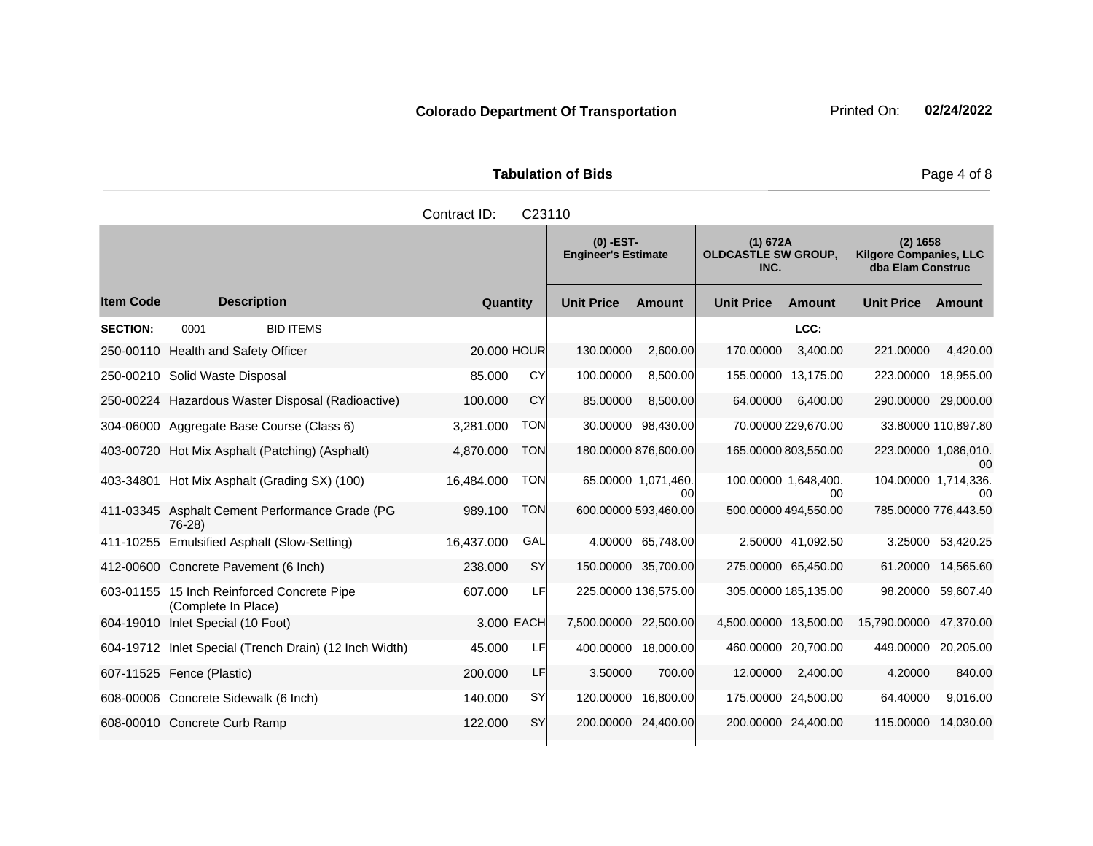| <b>Tabulation of Bids</b> |             |          |  |  |  |  |  |  |
|---------------------------|-------------|----------|--|--|--|--|--|--|
| Contract ID: C23110       |             |          |  |  |  |  |  |  |
|                           | $(0)$ -EST- | (1) 672A |  |  |  |  |  |  |

|                  |                                                                   |             |            | $(0)$ -EST-<br><b>Engineer's Estimate</b> |                            | (1) 672A<br><b>OLDCASTLE SW GROUP,</b><br>INC. |                      | (2) 1658<br><b>Kilgore Companies, LLC</b><br>dba Elam Construc |                     |
|------------------|-------------------------------------------------------------------|-------------|------------|-------------------------------------------|----------------------------|------------------------------------------------|----------------------|----------------------------------------------------------------|---------------------|
| <b>Item Code</b> | <b>Description</b>                                                | Quantity    |            | <b>Unit Price</b>                         | Amount                     | <b>Unit Price</b>                              | Amount               | <b>Unit Price</b>                                              | Amount              |
| <b>SECTION:</b>  | <b>BID ITEMS</b><br>0001                                          |             |            |                                           |                            |                                                | LCC:                 |                                                                |                     |
|                  | 250-00110 Health and Safety Officer                               | 20.000 HOUR |            | 130.00000                                 | 2,600.00                   | 170.00000                                      | 3,400.00             | 221.00000                                                      | 4,420.00            |
|                  | 250-00210 Solid Waste Disposal                                    | 85,000      | CY         | 100.00000                                 | 8,500.00                   |                                                | 155.00000 13,175.00  | 223.00000 18,955.00                                            |                     |
|                  | 250-00224 Hazardous Waster Disposal (Radioactive)                 | 100.000     | CY         | 85.00000                                  | 8,500.00                   | 64.00000                                       | 6.400.00             | 290.00000 29,000.00                                            |                     |
|                  | 304-06000 Aggregate Base Course (Class 6)                         | 3,281.000   | <b>TON</b> | 30.00000                                  | 98,430.00                  |                                                | 70.00000 229,670.00  |                                                                | 33.80000 110,897.80 |
|                  | 403-00720 Hot Mix Asphalt (Patching) (Asphalt)                    | 4,870.000   | <b>TON</b> | 180.00000 876,600.00                      |                            |                                                | 165.00000 803,550.00 | 223.00000 1,086,010.                                           | 00                  |
| 403-34801        | Hot Mix Asphalt (Grading SX) (100)                                | 16,484.000  | <b>TON</b> |                                           | 65.00000 1,071,460.<br>00l | 100.00000 1,648,400.                           | 00                   | 104.00000 1,714,336.                                           | 00                  |
|                  | 411-03345 Asphalt Cement Performance Grade (PG<br>$76-28$         | 989.100     | <b>TON</b> | 600.00000 593,460.00                      |                            | 500.00000 494,550.00                           |                      | 785.00000 776,443.50                                           |                     |
|                  | 411-10255 Emulsified Asphalt (Slow-Setting)                       | 16,437.000  | GAL        |                                           | 4.00000 65,748.00          |                                                | 2.50000 41,092.50    |                                                                | 3.25000 53,420.25   |
|                  | 412-00600 Concrete Pavement (6 Inch)                              | 238.000     | SY         | 150.00000 35,700.00                       |                            |                                                | 275.00000 65,450.00  |                                                                | 61.20000 14,565.60  |
|                  | 603-01155 15 Inch Reinforced Concrete Pipe<br>(Complete In Place) | 607.000     | LF         | 225.00000 136,575.00                      |                            |                                                | 305.00000 185,135.00 |                                                                | 98.20000 59.607.40  |
|                  | 604-19010 Inlet Special (10 Foot)                                 | 3.000 EACH  |            | 7,500.00000 22,500.00                     |                            | 4,500.00000 13,500.00                          |                      | 15,790.00000 47,370.00                                         |                     |
|                  | 604-19712 Inlet Special (Trench Drain) (12 Inch Width)            | 45.000      | LF         | 400.00000 18,000.00                       |                            | 460.00000 20,700.00                            |                      | 449.00000 20,205.00                                            |                     |
|                  | 607-11525 Fence (Plastic)                                         | 200.000     | LF         | 3.50000                                   | 700.00                     | 12.00000                                       | 2,400.00             | 4.20000                                                        | 840.00              |
|                  | 608-00006 Concrete Sidewalk (6 Inch)                              | 140.000     | SY         | 120.00000 16,800.00                       |                            |                                                | 175.00000 24,500.00  | 64.40000                                                       | 9.016.00            |
|                  | 608-00010 Concrete Curb Ramp                                      | 122.000     | <b>SY</b>  | 200.00000 24,400.00                       |                            |                                                | 200.00000 24,400.00  | 115.00000 14.030.00                                            |                     |

Page 4 of 8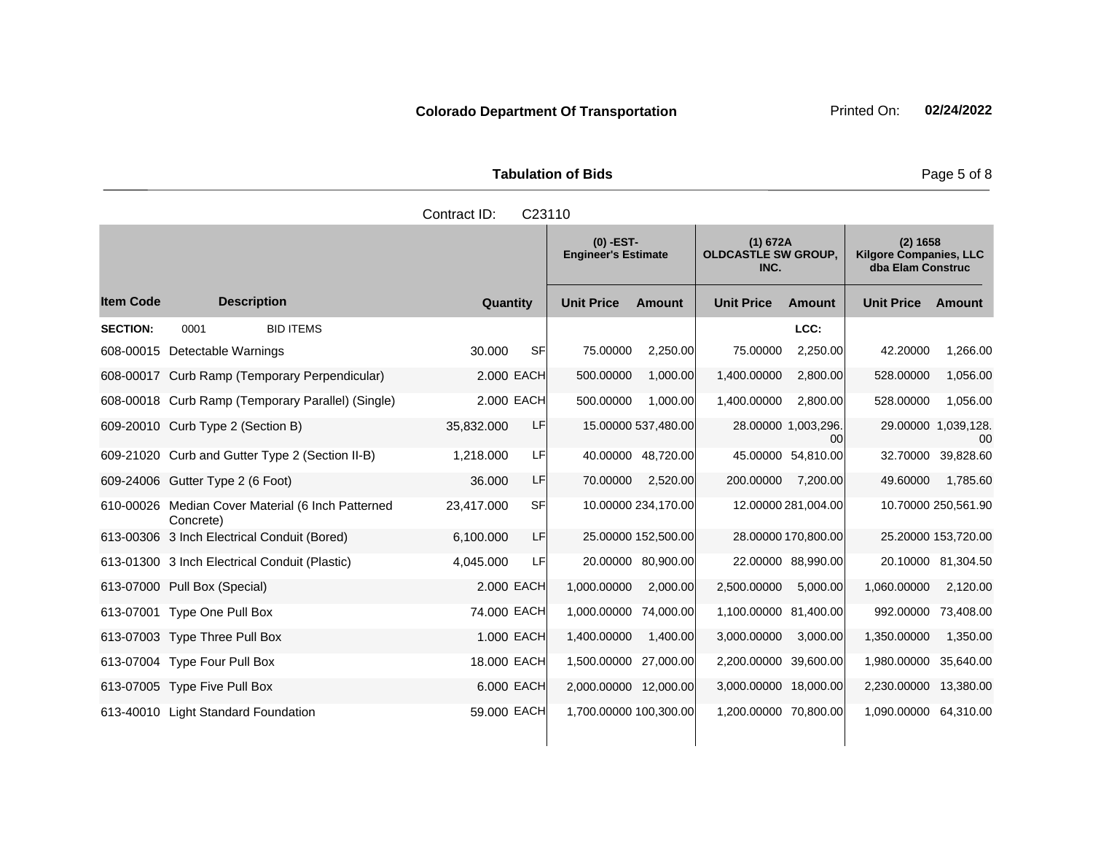| <b>Tabulation of Bids</b> |             |          |  |  |  |  |  |  |
|---------------------------|-------------|----------|--|--|--|--|--|--|
| Contract ID: C23110       |             |          |  |  |  |  |  |  |
|                           | $(0)$ -EST- | (1) 672A |  |  |  |  |  |  |

|                  |                                                                |                         | $(0)$ -EST-<br><b>Engineer's Estimate</b> |               | (1) 672A<br><b>OLDCASTLE SW GROUP,</b><br>INC. |                           | (2) 1658<br><b>Kilgore Companies, LLC</b><br>dba Elam Construc |                           |
|------------------|----------------------------------------------------------------|-------------------------|-------------------------------------------|---------------|------------------------------------------------|---------------------------|----------------------------------------------------------------|---------------------------|
| <b>Item Code</b> | <b>Description</b>                                             | Quantity                | <b>Unit Price</b>                         | <b>Amount</b> | <b>Unit Price</b>                              | <b>Amount</b>             | <b>Unit Price</b>                                              | Amount                    |
| <b>SECTION:</b>  | 0001<br><b>BID ITEMS</b>                                       |                         |                                           |               |                                                | LCC:                      |                                                                |                           |
|                  | 608-00015 Detectable Warnings                                  | 30,000<br>SF            | 75.00000                                  | 2,250.00      | 75.00000                                       | 2,250.00                  | 42.20000                                                       | 1,266.00                  |
|                  | 608-00017 Curb Ramp (Temporary Perpendicular)                  | 2,000 EACH              | 500.00000                                 | 1,000.00      | 1,400.00000                                    | 2,800.00                  | 528.00000                                                      | 1,056.00                  |
|                  | 608-00018 Curb Ramp (Temporary Parallel) (Single)              | 2,000 EACH              | 500.00000                                 | 1,000.00      | 1,400.00000                                    | 2,800.00                  | 528.00000                                                      | 1,056.00                  |
|                  | 609-20010 Curb Type 2 (Section B)                              | LF<br>35,832.000        | 15.00000 537,480.00                       |               |                                                | 28.00000 1,003,296.<br>00 |                                                                | 29.00000 1,039,128.<br>00 |
|                  | 609-21020 Curb and Gutter Type 2 (Section II-B)                | 1,218.000<br>LF         | 40.00000 48,720.00                        |               |                                                | 45.00000 54,810.00        | 32.70000                                                       | 39,828.60                 |
|                  | 609-24006 Gutter Type 2 (6 Foot)                               | LF<br>36.000            | 70.00000                                  | 2,520.00      | 200.00000                                      | 7,200.00                  | 49.60000                                                       | 1,785.60                  |
|                  | 610-00026 Median Cover Material (6 Inch Patterned<br>Concrete) | <b>SF</b><br>23,417.000 | 10.00000 234,170.00                       |               |                                                | 12.00000 281,004.00       |                                                                | 10.70000 250,561.90       |
|                  | 613-00306 3 Inch Electrical Conduit (Bored)                    | 6.100.000<br>LF         | 25.00000 152,500.00                       |               |                                                | 28.00000 170,800.00       |                                                                | 25.20000 153,720.00       |
|                  | 613-01300 3 Inch Electrical Conduit (Plastic)                  | 4,045.000<br>LF         | 20.00000 80,900.00                        |               |                                                | 22.00000 88,990.00        |                                                                | 20.10000 81,304.50        |
|                  | 613-07000 Pull Box (Special)                                   | 2,000 EACH              | 1,000.00000                               | 2,000.00      | 2,500.00000                                    | 5,000.00                  | 1,060.00000                                                    | 2,120.00                  |
|                  | 613-07001 Type One Pull Box                                    | 74.000 EACH             | 1,000.00000                               | 74,000.00     | 1,100.00000 81,400.00                          |                           | 992.00000                                                      | 73,408.00                 |
|                  | 613-07003 Type Three Pull Box                                  | 1.000 EACH              | 1,400.00000                               | 1,400.00      | 3,000.00000                                    | 3,000.00                  | 1,350.00000                                                    | 1,350.00                  |
|                  | 613-07004 Type Four Pull Box                                   | 18,000 EACH             | 1,500.00000 27,000.00                     |               | 2,200.00000 39,600.00                          |                           | 1,980.00000                                                    | 35,640.00                 |
|                  | 613-07005 Type Five Pull Box                                   | 6.000 EACH              | 2,000.00000 12,000.00                     |               | 3,000.00000 18,000.00                          |                           | 2,230.00000                                                    | 13,380.00                 |
|                  | 613-40010 Light Standard Foundation                            | 59,000 EACH             | 1,700.00000 100,300.00                    |               | 1,200.00000 70,800.00                          |                           | 1,090.00000 64,310.00                                          |                           |

Page 5 of 8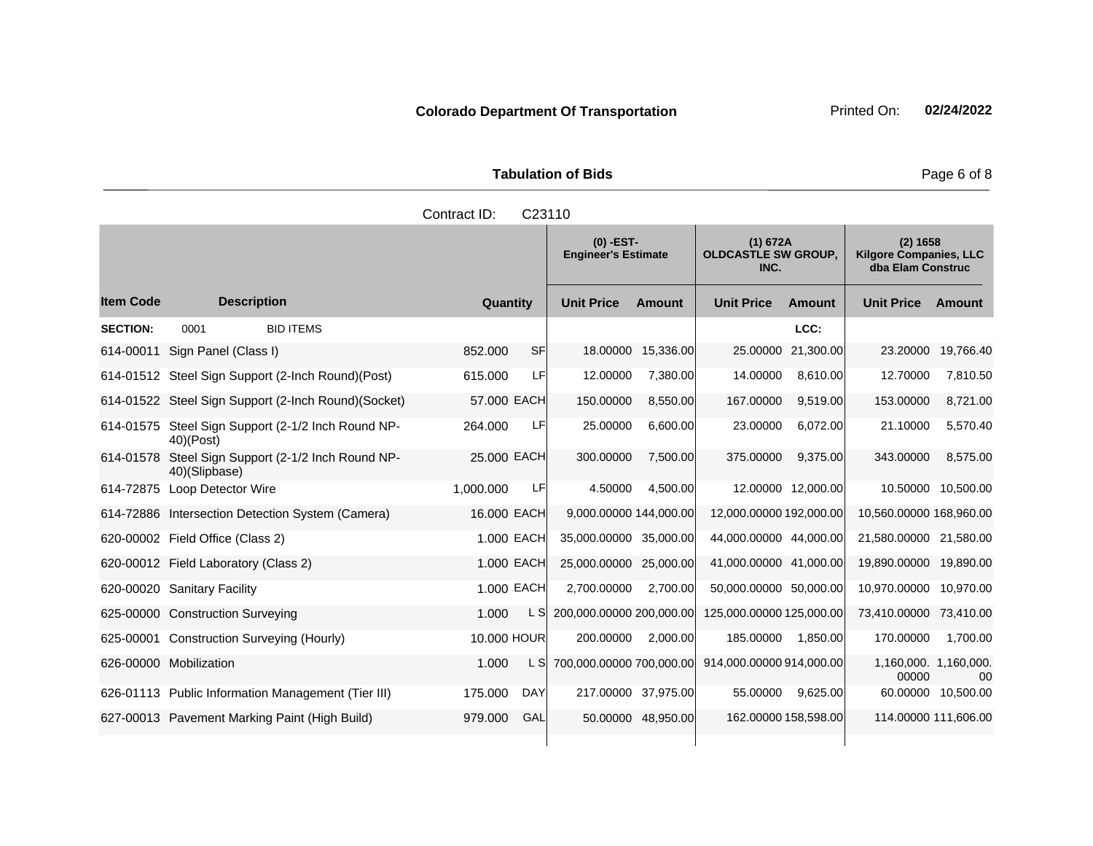Tabulation of Bids **Page 6 of 8** Page 6 of 8

|                  |                      |                                                     | Contract ID: | C <sub>23110</sub> |                                           |                    |                                                |                    |                                                                |           |
|------------------|----------------------|-----------------------------------------------------|--------------|--------------------|-------------------------------------------|--------------------|------------------------------------------------|--------------------|----------------------------------------------------------------|-----------|
|                  |                      |                                                     |              |                    | $(0)$ -EST-<br><b>Engineer's Estimate</b> |                    | (1) 672A<br><b>OLDCASTLE SW GROUP,</b><br>INC. |                    | (2) 1658<br><b>Kilgore Companies, LLC</b><br>dba Elam Construc |           |
| <b>Item Code</b> | <b>Description</b>   |                                                     | Quantity     |                    | <b>Unit Price</b>                         | <b>Amount</b>      | <b>Unit Price</b>                              | <b>Amount</b>      | <b>Unit Price</b>                                              | Amount    |
| <b>SECTION:</b>  | 0001                 | <b>BID ITEMS</b>                                    |              |                    |                                           |                    |                                                | LCC:               |                                                                |           |
| 614-00011        | Sign Panel (Class I) |                                                     | 852.000      | SF                 |                                           | 18.00000 15,336.00 |                                                | 25.00000 21,300.00 | 23,20000                                                       | 19,766.40 |
|                  |                      | 614-01512 Steel Sign Support (2-Inch Round)(Post)   | 615.000      | LF                 | 12.00000                                  | 7,380.00           | 14.00000                                       | 8,610.00           | 12.70000                                                       | 7,810.50  |
|                  |                      | 614-01522 Steel Sign Support (2-Inch Round)(Socket) | 57.000 EACH  |                    | 150.00000                                 | 8,550.00           | 167.00000                                      | 9,519.00           | 153.00000                                                      | 8,721.00  |
|                  | $40$ )(Post)         | 614-01575 Steel Sign Support (2-1/2 Inch Round NP-  | 264.000      | LF                 | 25,00000                                  | 6,600.00           | 23.00000                                       | 6,072.00           | 21.10000                                                       | 5,570.40  |
|                  |                      | 614-01578 Steel Sian Support (2-1/2 Inch Round NP-  | 25,000 EACH  |                    | 300.00000                                 | 7,500.00           | 375,00000                                      | 9,375.00           | 343,00000                                                      | 8,575.00  |

|           | 614-01522 Steel Sign Support (2-Inch Round)(Socket)       | 57.000 EACH |      | 150.00000                | 8,550.00            | 167.00000                | 9,519.00             | 153.00000                      | 8,721.00  |
|-----------|-----------------------------------------------------------|-------------|------|--------------------------|---------------------|--------------------------|----------------------|--------------------------------|-----------|
| 614-01575 | Steel Sign Support (2-1/2 Inch Round NP-<br>$40$ )(Post)  | 264.000     | LF   | 25.00000                 | 6,600.00            | 23.00000                 | 6,072.00             | 21.10000                       | 5,570.40  |
| 614-01578 | Steel Sign Support (2-1/2 Inch Round NP-<br>40)(Slipbase) | 25.000 EACH |      | 300.00000                | 7,500.00            | 375.00000                | 9,375.00             | 343.00000                      | 8,575.00  |
| 614-72875 | Loop Detector Wire                                        | 1,000.000   | LFI  | 4.50000                  | 4,500.00            | 12.00000                 | 12,000.00            | 10.50000                       | 10,500.00 |
|           | 614-72886 Intersection Detection System (Camera)          | 16.000 EACH |      | 9,000.00000 144,000.00   |                     | 12,000.00000 192,000.00  |                      | 10,560.00000 168,960.00        |           |
|           | 620-00002 Field Office (Class 2)                          | 1.000 EACH  |      | 35,000.00000 35,000.00   |                     | 44,000.00000 44,000.00   |                      | 21,580.00000                   | 21,580.00 |
|           | 620-00012 Field Laboratory (Class 2)                      | 1.000 EACH  |      | 25,000.00000 25,000.00   |                     | 41,000.00000 41,000.00   |                      | 19,890.00000                   | 19,890.00 |
| 620-00020 | <b>Sanitary Facility</b>                                  | 1.000 EACH  |      | 2,700.00000              | 2,700.00            | 50,000.00000 50,000.00   |                      | 10,970.00000                   | 10,970.00 |
|           | 625-00000 Construction Surveying                          | 1.000       | L SI | 200,000.00000 200,000.00 |                     | 125,000.00000 125,000.00 |                      | 73,410.00000                   | 73,410.00 |
| 625-00001 | Construction Surveying (Hourly)                           | 10.000 HOUR |      | 200.00000                | 2,000.00            | 185.00000                | 1,850.00             | 170.00000                      | 1,700.00  |
|           | 626-00000 Mobilization                                    | 1.000       | L SI | 700,000.00000 700,000.00 |                     | 914,000.00000 914,000.00 |                      | 1,160,000. 1,160,000.<br>00000 | 00        |
| 626-01113 | Public Information Management (Tier III)                  | 175.000     | DAY  |                          | 217.00000 37,975.00 | 55.00000                 | 9,625.00             | 60.00000                       | 10,500.00 |
|           | 627-00013 Pavement Marking Paint (High Build)             | 979.000     | GAL  |                          | 50.00000 48,950.00  |                          | 162.00000 158,598.00 | 114.00000 111,606.00           |           |
|           |                                                           |             |      |                          |                     |                          |                      |                                |           |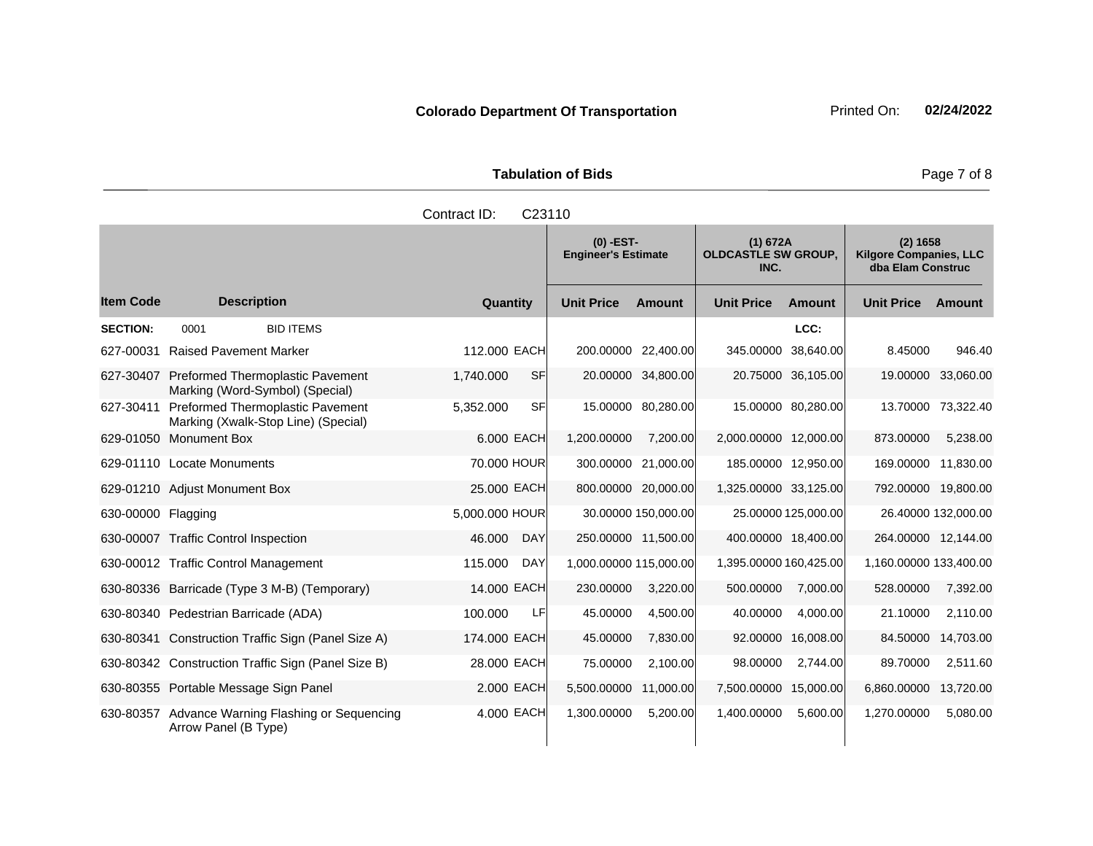**Tabulation of Bids** Page 7 of 8

|                    |                                                                                | Contract ID:<br>C23110 |                                                                                             |           |                        |                     |                                                                |                     |  |
|--------------------|--------------------------------------------------------------------------------|------------------------|---------------------------------------------------------------------------------------------|-----------|------------------------|---------------------|----------------------------------------------------------------|---------------------|--|
|                    |                                                                                |                        | $(0)$ -EST-<br>(1) 672A<br><b>OLDCASTLE SW GROUP.</b><br><b>Engineer's Estimate</b><br>INC. |           |                        |                     | (2) 1658<br><b>Kilgore Companies, LLC</b><br>dba Elam Construc |                     |  |
| <b>Item Code</b>   | <b>Description</b>                                                             | Quantity               | <b>Unit Price</b>                                                                           | Amount    | <b>Unit Price</b>      | Amount              | <b>Unit Price</b>                                              | Amount              |  |
| <b>SECTION:</b>    | <b>BID ITEMS</b><br>0001                                                       |                        |                                                                                             |           |                        | LCC:                |                                                                |                     |  |
|                    | 627-00031 Raised Pavement Marker                                               | 112,000 EACH           | 200.00000 22,400.00                                                                         |           | 345.00000              | 38,640.00           | 8.45000                                                        | 946.40              |  |
|                    | 627-30407 Preformed Thermoplastic Pavement<br>Marking (Word-Symbol) (Special)  | <b>SF</b><br>1,740.000 | 20.00000 34,800.00                                                                          |           |                        | 20.75000 36,105.00  | 19.00000                                                       | 33,060.00           |  |
| 627-30411          | <b>Preformed Thermoplastic Pavement</b><br>Marking (Xwalk-Stop Line) (Special) | SF<br>5,352.000        | 15.00000 80,280.00                                                                          |           |                        | 15.00000 80,280.00  | 13.70000                                                       | 73,322.40           |  |
| 629-01050          | <b>Monument Box</b>                                                            | 6,000 EACH             | 1,200.00000                                                                                 | 7,200.00  | 2,000.00000 12,000.00  |                     | 873.00000                                                      | 5,238.00            |  |
|                    | 629-01110 Locate Monuments                                                     | 70.000 HOUR            | 300.00000 21,000.00                                                                         |           | 185.00000 12,950.00    |                     | 169.00000                                                      | 11,830.00           |  |
|                    | 629-01210 Adjust Monument Box                                                  | 25.000 EACH            | 800.00000 20,000.00                                                                         |           | 1,325.00000 33,125.00  |                     | 792.00000 19,800.00                                            |                     |  |
| 630-00000 Flagging |                                                                                | 5,000.000 HOUR         | 30.00000 150,000.00                                                                         |           |                        | 25.00000 125,000.00 |                                                                | 26.40000 132,000.00 |  |
|                    | 630-00007 Traffic Control Inspection                                           | 46.000<br><b>DAY</b>   | 250.00000 11,500.00                                                                         |           | 400.00000 18,400.00    |                     | 264.00000 12,144.00                                            |                     |  |
|                    | 630-00012 Traffic Control Management                                           | 115.000<br><b>DAY</b>  | 1,000.00000 115,000.00                                                                      |           | 1,395.00000 160,425.00 |                     | 1,160.00000 133,400.00                                         |                     |  |
|                    | 630-80336 Barricade (Type 3 M-B) (Temporary)                                   | 14,000 EACH            | 230.00000                                                                                   | 3,220.00  | 500.00000              | 7,000.00            | 528.00000                                                      | 7,392.00            |  |
|                    | 630-80340 Pedestrian Barricade (ADA)                                           | LF<br>100.000          | 45.00000                                                                                    | 4,500.00  | 40.00000               | 4,000.00            | 21.10000                                                       | 2,110.00            |  |
|                    | 630-80341 Construction Traffic Sign (Panel Size A)                             | 174.000 EACH           | 45.00000                                                                                    | 7,830.00  | 92.00000               | 16,008.00           | 84.50000                                                       | 14,703.00           |  |
|                    | 630-80342 Construction Traffic Sign (Panel Size B)                             | 28.000 EACH            | 75.00000                                                                                    | 2,100.00  | 98.00000               | 2,744.00            | 89.70000                                                       | 2,511.60            |  |
|                    | 630-80355 Portable Message Sign Panel                                          | 2,000 EACH             | 5,500.00000                                                                                 | 11,000.00 | 7,500.00000 15,000.00  |                     | 6,860.00000                                                    | 13,720.00           |  |
|                    | 630-80357 Advance Warning Flashing or Sequencing<br>Arrow Panel (B Type)       | 4.000 EACH             | 1,300.00000                                                                                 | 5,200.00  | 1,400.00000            | 5,600.00            | 1,270.00000                                                    | 5,080.00            |  |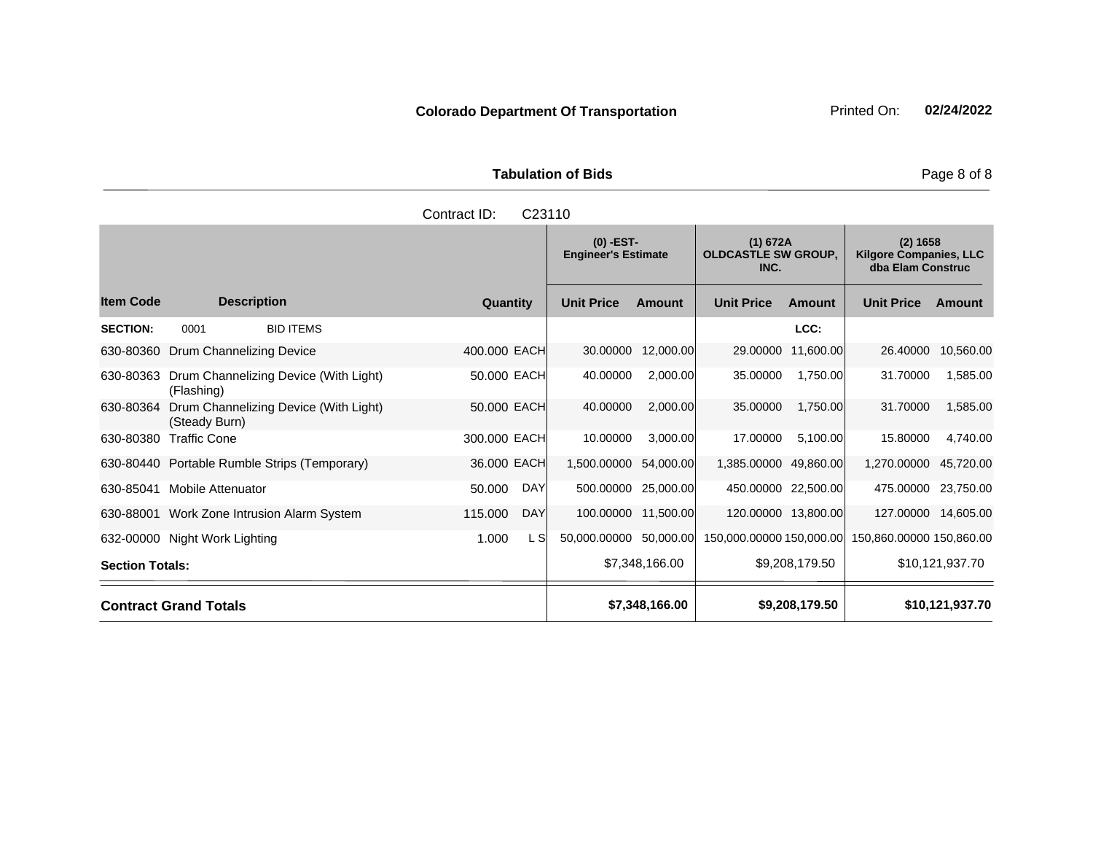|                     | <b>Tabulation of Bids</b> |          |
|---------------------|---------------------------|----------|
| Contract ID: C23110 |                           |          |
|                     | $(0)$ -EST-               | (1) 672A |

|                        |                                 |                                              |              |            | <b>Engineer's Estimate</b> |                     | <b>OLDCASTLE SW GROUP,</b><br>INC. |                | <b>Kilgore Companies, LLC</b><br>dba Elam Construc |                 |
|------------------------|---------------------------------|----------------------------------------------|--------------|------------|----------------------------|---------------------|------------------------------------|----------------|----------------------------------------------------|-----------------|
| <b>Item Code</b>       |                                 | <b>Description</b>                           | Quantity     |            | <b>Unit Price</b>          | <b>Amount</b>       | <b>Unit Price</b>                  | <b>Amount</b>  | <b>Unit Price</b>                                  | Amount          |
| <b>SECTION:</b>        | 0001                            | <b>BID ITEMS</b>                             |              |            |                            |                     |                                    | LCC:           |                                                    |                 |
| 630-80360              | <b>Drum Channelizing Device</b> |                                              | 400.000 EACH |            | 30.00000                   | 12,000.00           | 29.00000                           | 11,600.00      | 26.40000                                           | 10,560.00       |
| 630-80363              | (Flashing)                      | Drum Channelizing Device (With Light)        | 50.000 EACH  |            | 40.00000                   | 2,000.00            | 35.00000                           | 1,750.00       | 31.70000                                           | 1,585.00        |
| 630-80364              | (Steady Burn)                   | Drum Channelizing Device (With Light)        | 50.000 EACH  |            | 40.00000                   | 2,000.00            | 35.00000                           | 1,750.00       | 31.70000                                           | 1,585.00        |
| 630-80380              | <b>Traffic Cone</b>             |                                              | 300.000 EACH |            | 10.00000                   | 3,000.00            | 17.00000                           | 5,100.00       | 15.80000                                           | 4,740.00        |
|                        |                                 | 630-80440 Portable Rumble Strips (Temporary) | 36.000 EACH  |            | 1,500.00000                | 54,000.00           | 1,385.00000 49,860.00              |                | 1,270.00000                                        | 45,720.00       |
| 630-85041              | <b>Mobile Attenuator</b>        |                                              | 50.000       | <b>DAY</b> | 500.00000                  | 25,000.00           | 450.00000 22,500.00                |                | 475.00000                                          | 23,750.00       |
|                        |                                 | 630-88001 Work Zone Intrusion Alarm System   | 115.000      | <b>DAY</b> |                            | 100.00000 11,500.00 | 120.00000 13,800.00                |                | 127.00000                                          | 14,605.00       |
|                        | 632-00000 Night Work Lighting   |                                              | 1.000        | L SI       | 50,000.00000               | 50,000.00           | 150,000.00000 150,000.00           |                | 150,860.00000 150,860.00                           |                 |
| <b>Section Totals:</b> |                                 |                                              |              |            |                            | \$7,348,166.00      |                                    | \$9,208,179.50 |                                                    | \$10,121,937.70 |
|                        | <b>Contract Grand Totals</b>    |                                              |              |            |                            | \$7,348,166.00      |                                    | \$9,208,179.50 |                                                    | \$10,121,937.70 |

**(2) 1658**

Page 8 of 8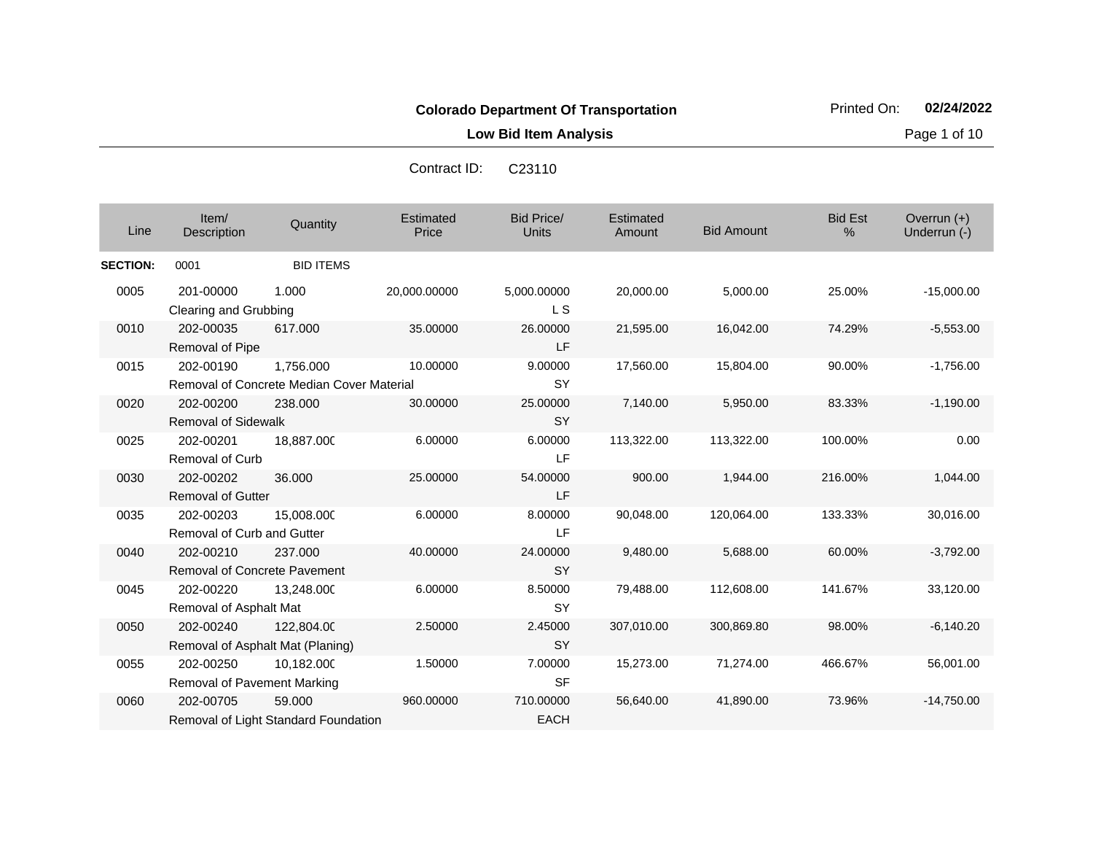**Low Bid Item Analysis Page 1 of 10** 

| Contract ID: | C <sub>23110</sub> |  |
|--------------|--------------------|--|
|              |                    |  |

| Line            | Item/<br>Description                             | Quantity                                               | <b>Estimated</b><br>Price | <b>Bid Price/</b><br><b>Units</b> | Estimated<br>Amount | <b>Bid Amount</b> | <b>Bid Est</b><br>% | Overrun $(+)$<br>Underrun (-) |
|-----------------|--------------------------------------------------|--------------------------------------------------------|---------------------------|-----------------------------------|---------------------|-------------------|---------------------|-------------------------------|
| <b>SECTION:</b> | 0001                                             | <b>BID ITEMS</b>                                       |                           |                                   |                     |                   |                     |                               |
| 0005            | 201-00000<br>Clearing and Grubbing               | 1.000                                                  | 20,000.00000              | 5,000.00000<br><b>LS</b>          | 20,000.00           | 5,000.00          | 25.00%              | $-15,000.00$                  |
| 0010            | 202-00035<br>Removal of Pipe                     | 617.000                                                | 35.00000                  | 26.00000<br><b>LF</b>             | 21,595.00           | 16,042.00         | 74.29%              | $-5,553.00$                   |
| 0015            | 202-00190                                        | 1.756.000<br>Removal of Concrete Median Cover Material | 10.00000                  | 9.00000<br><b>SY</b>              | 17,560.00           | 15,804.00         | 90.00%              | $-1,756.00$                   |
| 0020            | 202-00200<br><b>Removal of Sidewalk</b>          | 238,000                                                | 30.00000                  | 25.00000<br><b>SY</b>             | 7,140.00            | 5,950.00          | 83.33%              | $-1,190.00$                   |
| 0025            | 202-00201<br><b>Removal of Curb</b>              | 18,887.000                                             | 6.00000                   | 6.00000<br>LF                     | 113,322.00          | 113,322.00        | 100.00%             | 0.00                          |
| 0030            | 202-00202<br><b>Removal of Gutter</b>            | 36.000                                                 | 25.00000                  | 54.00000<br>LF                    | 900.00              | 1,944.00          | 216.00%             | 1,044.00                      |
| 0035            | 202-00203<br><b>Removal of Curb and Gutter</b>   | 15,008.000                                             | 6.00000                   | 8.00000<br><b>LF</b>              | 90,048.00           | 120,064.00        | 133.33%             | 30,016.00                     |
| 0040            | 202-00210<br><b>Removal of Concrete Pavement</b> | 237.000                                                | 40.00000                  | 24.00000<br><b>SY</b>             | 9,480.00            | 5,688.00          | 60.00%              | $-3,792.00$                   |
| 0045            | 202-00220<br>Removal of Asphalt Mat              | 13,248.000                                             | 6.00000                   | 8.50000<br><b>SY</b>              | 79,488.00           | 112,608.00        | 141.67%             | 33,120.00                     |
| 0050            | 202-00240<br>Removal of Asphalt Mat (Planing)    | 122,804.00                                             | 2.50000                   | 2.45000<br><b>SY</b>              | 307,010.00          | 300,869.80        | 98.00%              | $-6,140.20$                   |
| 0055            | 202-00250<br>Removal of Pavement Marking         | 10.182.000                                             | 1.50000                   | 7.00000<br><b>SF</b>              | 15,273.00           | 71,274.00         | 466.67%             | 56,001.00                     |
| 0060            | 202-00705                                        | 59,000<br>Removal of Light Standard Foundation         | 960.00000                 | 710.00000<br><b>EACH</b>          | 56,640.00           | 41,890.00         | 73.96%              | $-14,750.00$                  |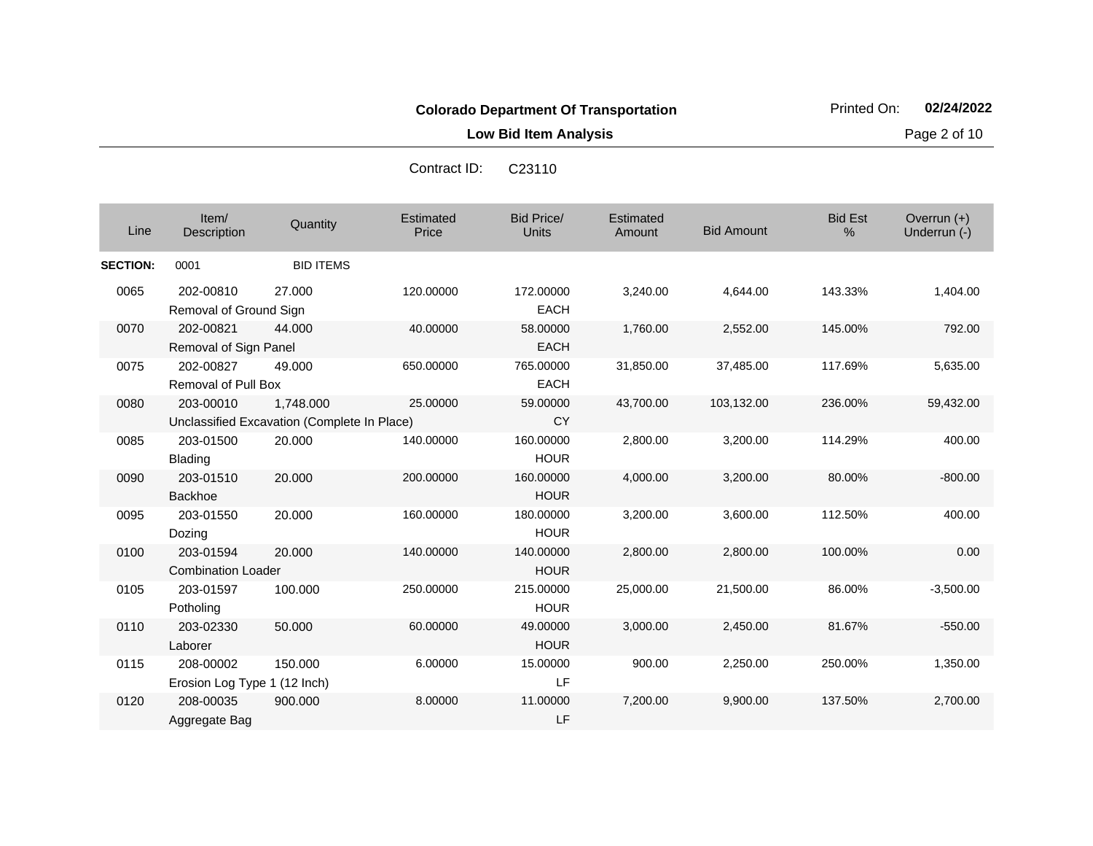**Low Bid Item Analysis Page 2 of 10** 

|                 |                                           |                                                          | Contract ID:       | <b>C23110</b>                     |                     |                   |                        |                             |
|-----------------|-------------------------------------------|----------------------------------------------------------|--------------------|-----------------------------------|---------------------|-------------------|------------------------|-----------------------------|
| Line            | Item/<br>Description                      | Quantity                                                 | Estimated<br>Price | <b>Bid Price/</b><br><b>Units</b> | Estimated<br>Amount | <b>Bid Amount</b> | <b>Bid Est</b><br>$\%$ | Overrun (+)<br>Underrun (-) |
| <b>SECTION:</b> | 0001                                      | <b>BID ITEMS</b>                                         |                    |                                   |                     |                   |                        |                             |
| 0065            | 202-00810<br>Removal of Ground Sign       | 27,000                                                   | 120.00000          | 172.00000<br><b>EACH</b>          | 3,240.00            | 4,644.00          | 143.33%                | 1,404.00                    |
| 0070            | 202-00821<br>Removal of Sign Panel        | 44.000                                                   | 40.00000           | 58.00000<br><b>EACH</b>           | 1,760.00            | 2,552.00          | 145.00%                | 792.00                      |
| 0075            | 202-00827<br><b>Removal of Pull Box</b>   | 49.000                                                   | 650.00000          | 765.00000<br><b>EACH</b>          | 31,850.00           | 37,485.00         | 117.69%                | 5,635.00                    |
| 0080            | 203-00010                                 | 1,748.000<br>Unclassified Excavation (Complete In Place) | 25.00000           | 59.00000<br>CY                    | 43,700.00           | 103,132.00        | 236.00%                | 59,432.00                   |
| 0085            | 203-01500<br><b>Blading</b>               | 20.000                                                   | 140.00000          | 160.00000<br><b>HOUR</b>          | 2,800.00            | 3,200.00          | 114.29%                | 400.00                      |
| 0090            | 203-01510<br><b>Backhoe</b>               | 20.000                                                   | 200.00000          | 160.00000<br><b>HOUR</b>          | 4,000.00            | 3,200.00          | 80.00%                 | $-800.00$                   |
| 0095            | 203-01550<br>Dozing                       | 20.000                                                   | 160.00000          | 180.00000<br><b>HOUR</b>          | 3,200.00            | 3,600.00          | 112.50%                | 400.00                      |
| 0100            | 203-01594<br><b>Combination Loader</b>    | 20.000                                                   | 140.00000          | 140.00000<br><b>HOUR</b>          | 2,800.00            | 2,800.00          | 100.00%                | 0.00                        |
| 0105            | 203-01597<br>Potholing                    | 100.000                                                  | 250.00000          | 215.00000<br><b>HOUR</b>          | 25,000.00           | 21,500.00         | 86.00%                 | $-3,500.00$                 |
| 0110            | 203-02330<br>Laborer                      | 50.000                                                   | 60.00000           | 49.00000<br><b>HOUR</b>           | 3,000.00            | 2,450.00          | 81.67%                 | $-550.00$                   |
| 0115            | 208-00002<br>Erosion Log Type 1 (12 Inch) | 150.000                                                  | 6.00000            | 15.00000<br>LF                    | 900.00              | 2,250.00          | 250.00%                | 1,350.00                    |
| 0120            | 208-00035<br>Aggregate Bag                | 900.000                                                  | 8.00000            | 11.00000<br>LF                    | 7,200.00            | 9,900.00          | 137.50%                | 2,700.00                    |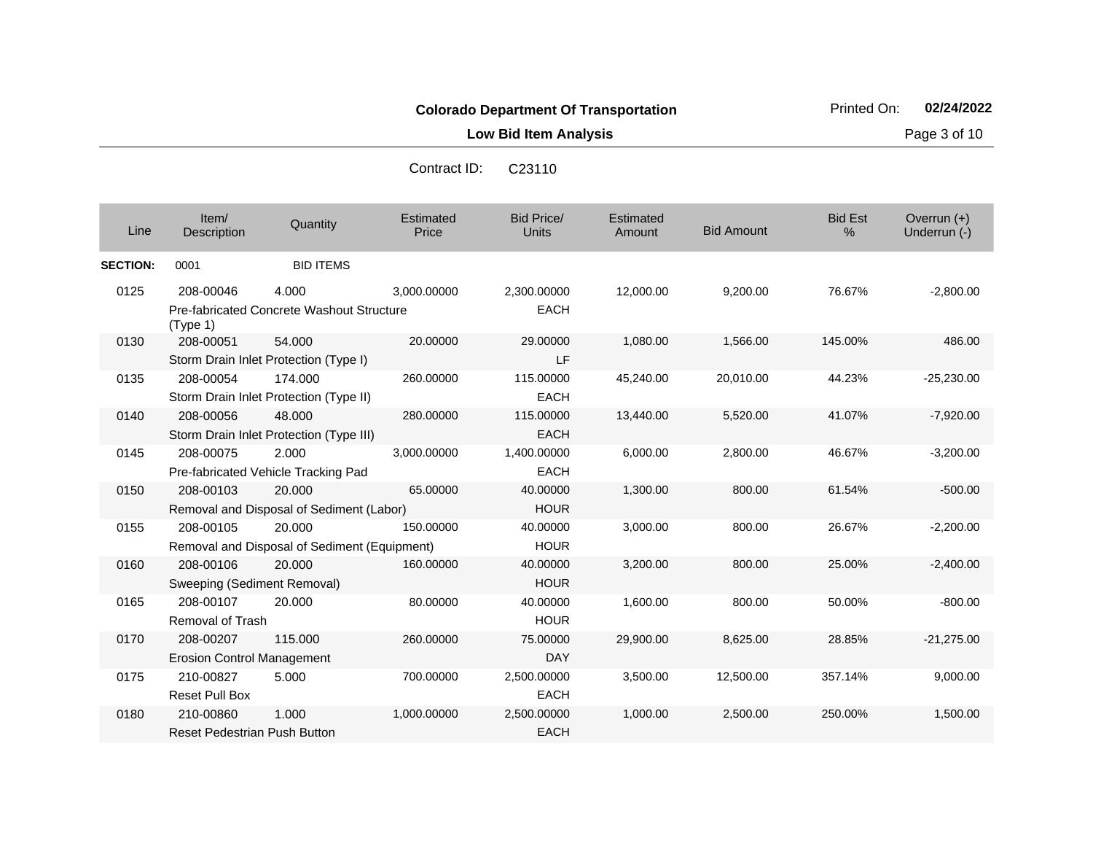**Low Bid Item Analysis Page 3 of 10** 

| Contract ID: | C <sub>23110</sub> |
|--------------|--------------------|
|--------------|--------------------|

| Line            | Item/<br>Description                             | Quantity                                               | Estimated<br>Price | <b>Bid Price/</b><br><b>Units</b> | Estimated<br>Amount | <b>Bid Amount</b> | <b>Bid Est</b><br>% | Overrun $(+)$<br>Underrun (-) |
|-----------------|--------------------------------------------------|--------------------------------------------------------|--------------------|-----------------------------------|---------------------|-------------------|---------------------|-------------------------------|
| <b>SECTION:</b> | 0001                                             | <b>BID ITEMS</b>                                       |                    |                                   |                     |                   |                     |                               |
| 0125            | 208-00046<br>(Type 1)                            | 4.000<br>Pre-fabricated Concrete Washout Structure     | 3,000.00000        | 2,300.00000<br><b>EACH</b>        | 12,000.00           | 9,200.00          | 76.67%              | $-2,800.00$                   |
| 0130            | 208-00051                                        | 54.000<br>Storm Drain Inlet Protection (Type I)        | 20.00000           | 29.00000<br>LF                    | 1,080.00            | 1,566.00          | 145.00%             | 486.00                        |
| 0135            | 208-00054                                        | 174.000<br>Storm Drain Inlet Protection (Type II)      | 260.00000          | 115.00000<br><b>EACH</b>          | 45,240.00           | 20,010.00         | 44.23%              | $-25,230.00$                  |
| 0140            | 208-00056                                        | 48,000<br>Storm Drain Inlet Protection (Type III)      | 280.00000          | 115.00000<br><b>EACH</b>          | 13,440.00           | 5,520.00          | 41.07%              | $-7,920.00$                   |
| 0145            | 208-00075                                        | 2.000<br>Pre-fabricated Vehicle Tracking Pad           | 3,000.00000        | 1,400.00000<br><b>EACH</b>        | 6,000.00            | 2,800.00          | 46.67%              | $-3,200.00$                   |
| 0150            | 208-00103                                        | 20.000<br>Removal and Disposal of Sediment (Labor)     | 65.00000           | 40.00000<br><b>HOUR</b>           | 1,300.00            | 800.00            | 61.54%              | $-500.00$                     |
| 0155            | 208-00105                                        | 20.000<br>Removal and Disposal of Sediment (Equipment) | 150.00000          | 40.00000<br><b>HOUR</b>           | 3,000.00            | 800.00            | 26.67%              | $-2,200.00$                   |
| 0160            | 208-00106<br>Sweeping (Sediment Removal)         | 20,000                                                 | 160.00000          | 40.00000<br><b>HOUR</b>           | 3,200.00            | 800.00            | 25.00%              | $-2,400.00$                   |
| 0165            | 208-00107<br><b>Removal of Trash</b>             | 20,000                                                 | 80.00000           | 40.00000<br><b>HOUR</b>           | 1,600.00            | 800.00            | 50.00%              | $-800.00$                     |
| 0170            | 208-00207<br><b>Erosion Control Management</b>   | 115,000                                                | 260.00000          | 75.00000<br><b>DAY</b>            | 29,900.00           | 8,625.00          | 28.85%              | $-21,275.00$                  |
| 0175            | 210-00827<br><b>Reset Pull Box</b>               | 5.000                                                  | 700.00000          | 2,500.00000<br><b>EACH</b>        | 3,500.00            | 12,500.00         | 357.14%             | 9,000.00                      |
| 0180            | 210-00860<br><b>Reset Pedestrian Push Button</b> | 1.000                                                  | 1,000.00000        | 2,500.00000<br><b>EACH</b>        | 1,000.00            | 2,500.00          | 250.00%             | 1,500.00                      |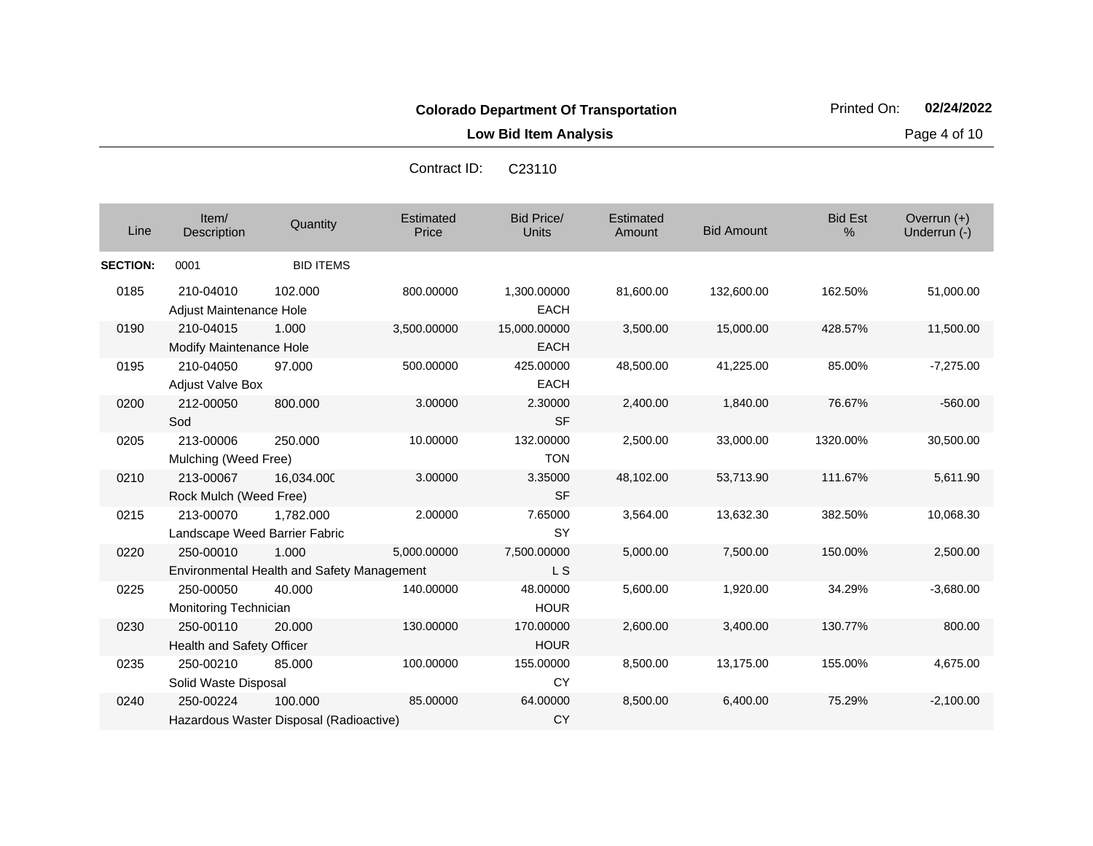**Low Bid Item Analysis Page 4 of 10** 

| Line            | Item/<br>Description                        | Quantity                                            | Estimated<br>Price | <b>Bid Price/</b><br><b>Units</b> | Estimated<br>Amount | <b>Bid Amount</b> | <b>Bid Est</b><br>$\%$ | Overrun (+)<br>Underrun (-) |
|-----------------|---------------------------------------------|-----------------------------------------------------|--------------------|-----------------------------------|---------------------|-------------------|------------------------|-----------------------------|
| <b>SECTION:</b> | 0001                                        | <b>BID ITEMS</b>                                    |                    |                                   |                     |                   |                        |                             |
| 0185            | 210-04010<br>Adjust Maintenance Hole        | 102.000                                             | 800.00000          | 1,300.00000<br><b>EACH</b>        | 81,600.00           | 132,600.00        | 162.50%                | 51,000.00                   |
| 0190            | 210-04015<br><b>Modify Maintenance Hole</b> | 1.000                                               | 3,500.00000        | 15,000.00000<br><b>EACH</b>       | 3,500.00            | 15,000.00         | 428.57%                | 11,500.00                   |
| 0195            | 210-04050<br><b>Adjust Valve Box</b>        | 97.000                                              | 500.00000          | 425.00000<br><b>EACH</b>          | 48,500.00           | 41,225.00         | 85.00%                 | $-7,275.00$                 |
| 0200            | 212-00050<br>Sod                            | 800.000                                             | 3.00000            | 2.30000<br><b>SF</b>              | 2,400.00            | 1,840.00          | 76.67%                 | $-560.00$                   |
| 0205            | 213-00006<br>Mulching (Weed Free)           | 250.000                                             | 10.00000           | 132.00000<br><b>TON</b>           | 2,500.00            | 33,000.00         | 1320.00%               | 30,500.00                   |
| 0210            | 213-00067<br>Rock Mulch (Weed Free)         | 16.034.000                                          | 3.00000            | 3.35000<br><b>SF</b>              | 48,102.00           | 53,713.90         | 111.67%                | 5,611.90                    |
| 0215            | 213-00070<br>Landscape Weed Barrier Fabric  | 1.782.000                                           | 2.00000            | 7.65000<br>SY                     | 3,564.00            | 13,632.30         | 382.50%                | 10,068.30                   |
| 0220            | 250-00010                                   | 1.000<br>Environmental Health and Safety Management | 5,000.00000        | 7,500.00000<br>L S                | 5,000.00            | 7,500.00          | 150.00%                | 2,500.00                    |
| 0225            | 250-00050<br>Monitoring Technician          | 40.000                                              | 140.00000          | 48.00000<br><b>HOUR</b>           | 5,600.00            | 1,920.00          | 34.29%                 | $-3,680.00$                 |
| 0230            | 250-00110<br>Health and Safety Officer      | 20.000                                              | 130.00000          | 170.00000<br><b>HOUR</b>          | 2,600.00            | 3,400.00          | 130.77%                | 800.00                      |
| 0235            | 250-00210<br>Solid Waste Disposal           | 85.000                                              | 100.00000          | 155.00000<br><b>CY</b>            | 8,500.00            | 13,175.00         | 155.00%                | 4,675.00                    |
| 0240            | 250-00224                                   | 100.000<br>Hazardous Waster Disposal (Radioactive)  | 85.00000           | 64.00000<br><b>CY</b>             | 8,500.00            | 6,400.00          | 75.29%                 | $-2,100.00$                 |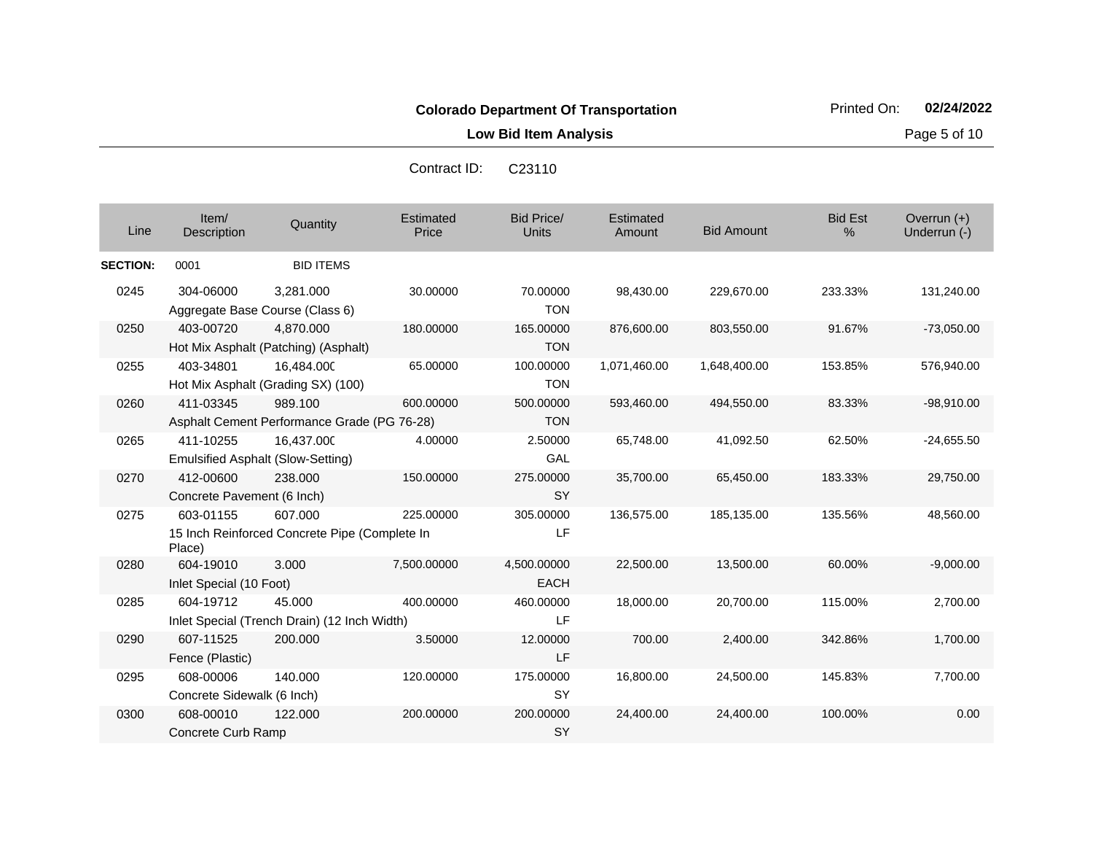**Low Bid Item Analysis Page 5 of 10** 

| Line            | Item/<br>Description                    | Quantity                                                 | Estimated<br>Price | Bid Price/<br><b>Units</b> | Estimated<br>Amount | <b>Bid Amount</b> | <b>Bid Est</b><br>% | Overrun $(+)$<br>Underrun (-) |
|-----------------|-----------------------------------------|----------------------------------------------------------|--------------------|----------------------------|---------------------|-------------------|---------------------|-------------------------------|
| <b>SECTION:</b> | 0001                                    | <b>BID ITEMS</b>                                         |                    |                            |                     |                   |                     |                               |
| 0245            | 304-06000                               | 3,281.000<br>Aggregate Base Course (Class 6)             | 30.00000           | 70.00000<br><b>TON</b>     | 98,430.00           | 229,670.00        | 233.33%             | 131,240.00                    |
| 0250            | 403-00720                               | 4,870.000<br>Hot Mix Asphalt (Patching) (Asphalt)        | 180.00000          | 165.00000<br><b>TON</b>    | 876,600.00          | 803,550.00        | 91.67%              | $-73,050.00$                  |
| 0255            | 403-34801                               | 16,484.000<br>Hot Mix Asphalt (Grading SX) (100)         | 65.00000           | 100.00000<br><b>TON</b>    | 1,071,460.00        | 1,648,400.00      | 153.85%             | 576,940.00                    |
| 0260            | 411-03345                               | 989.100<br>Asphalt Cement Performance Grade (PG 76-28)   | 600.00000          | 500.00000<br><b>TON</b>    | 593,460.00          | 494,550.00        | 83.33%              | $-98,910.00$                  |
| 0265            | 411-10255                               | 16,437.000<br><b>Emulsified Asphalt (Slow-Setting)</b>   | 4.00000            | 2.50000<br>GAL             | 65,748.00           | 41,092.50         | 62.50%              | $-24,655.50$                  |
| 0270            | 412-00600<br>Concrete Pavement (6 Inch) | 238.000                                                  | 150.00000          | 275.00000<br><b>SY</b>     | 35,700.00           | 65,450.00         | 183.33%             | 29,750.00                     |
| 0275            | 603-01155<br>Place)                     | 607.000<br>15 Inch Reinforced Concrete Pipe (Complete In | 225.00000          | 305.00000<br>LF            | 136,575.00          | 185,135.00        | 135.56%             | 48,560.00                     |
| 0280            | 604-19010<br>Inlet Special (10 Foot)    | 3.000                                                    | 7,500.00000        | 4,500.00000<br><b>EACH</b> | 22,500.00           | 13,500.00         | 60.00%              | $-9,000.00$                   |
| 0285            | 604-19712                               | 45.000<br>Inlet Special (Trench Drain) (12 Inch Width)   | 400.00000          | 460.00000<br>LF            | 18,000.00           | 20,700.00         | 115.00%             | 2,700.00                      |
| 0290            | 607-11525<br>Fence (Plastic)            | 200.000                                                  | 3.50000            | 12.00000<br>LF             | 700.00              | 2,400.00          | 342.86%             | 1,700.00                      |
| 0295            | 608-00006<br>Concrete Sidewalk (6 Inch) | 140.000                                                  | 120.00000          | 175.00000<br><b>SY</b>     | 16,800.00           | 24,500.00         | 145.83%             | 7,700.00                      |
| 0300            | 608-00010<br>Concrete Curb Ramp         | 122.000                                                  | 200.00000          | 200.00000<br><b>SY</b>     | 24,400.00           | 24,400.00         | 100.00%             | 0.00                          |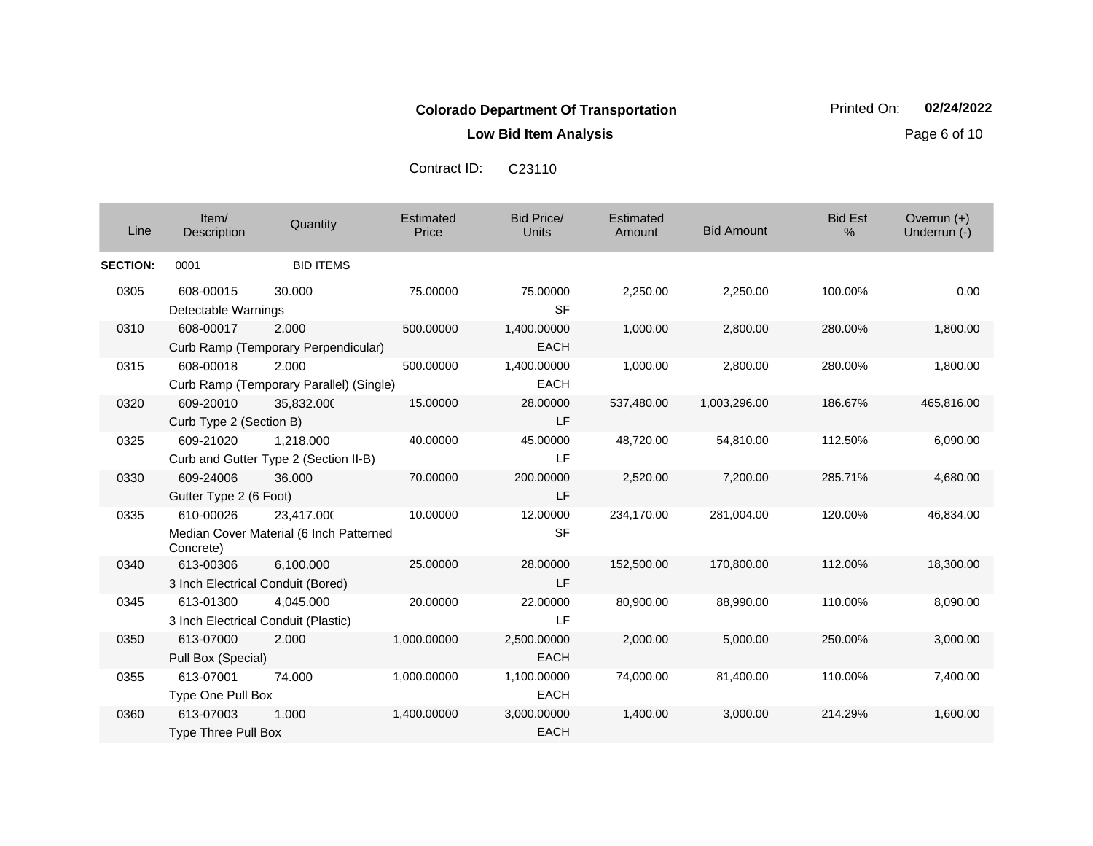Contract ID: C23110

**Low Bid Item Analysis Page 6 of 10** 

| Line            | Item/<br>Description                             | Quantity                                              | Estimated<br>Price | Bid Price/<br><b>Units</b> | Estimated<br>Amount | <b>Bid Amount</b> | <b>Bid Est</b><br>% | Overrun $(+)$<br>Underrun (-) |
|-----------------|--------------------------------------------------|-------------------------------------------------------|--------------------|----------------------------|---------------------|-------------------|---------------------|-------------------------------|
| <b>SECTION:</b> | 0001                                             | <b>BID ITEMS</b>                                      |                    |                            |                     |                   |                     |                               |
| 0305            | 608-00015<br>Detectable Warnings                 | 30,000                                                | 75.00000           | 75.00000<br><b>SF</b>      | 2,250.00            | 2,250.00          | 100.00%             | 0.00                          |
| 0310            | 608-00017                                        | 2.000<br>Curb Ramp (Temporary Perpendicular)          | 500.00000          | 1,400.00000<br><b>EACH</b> | 1,000.00            | 2,800.00          | 280.00%             | 1,800.00                      |
| 0315            | 608-00018                                        | 2.000<br>Curb Ramp (Temporary Parallel) (Single)      | 500.00000          | 1,400.00000<br><b>EACH</b> | 1,000.00            | 2,800.00          | 280.00%             | 1,800.00                      |
| 0320            | 609-20010<br>Curb Type 2 (Section B)             | 35,832.000                                            | 15.00000           | 28.00000<br>LF             | 537,480.00          | 1,003,296.00      | 186.67%             | 465,816.00                    |
| 0325            | 609-21020                                        | 1.218.000<br>Curb and Gutter Type 2 (Section II-B)    | 40.00000           | 45.00000<br>LF             | 48,720.00           | 54,810.00         | 112.50%             | 6,090.00                      |
| 0330            | 609-24006<br>Gutter Type 2 (6 Foot)              | 36.000                                                | 70.00000           | 200.00000<br>LF            | 2,520.00            | 7,200.00          | 285.71%             | 4,680.00                      |
| 0335            | 610-00026<br>Concrete)                           | 23,417.000<br>Median Cover Material (6 Inch Patterned | 10.00000           | 12.00000<br><b>SF</b>      | 234,170.00          | 281,004.00        | 120.00%             | 46,834.00                     |
| 0340            | 613-00306<br>3 Inch Electrical Conduit (Bored)   | 6,100.000                                             | 25.00000           | 28.00000<br>LF             | 152,500.00          | 170,800.00        | 112.00%             | 18,300.00                     |
| 0345            | 613-01300<br>3 Inch Electrical Conduit (Plastic) | 4.045.000                                             | 20.00000           | 22.00000<br>LF             | 80,900.00           | 88,990.00         | 110.00%             | 8,090.00                      |
| 0350            | 613-07000<br>Pull Box (Special)                  | 2.000                                                 | 1,000.00000        | 2,500.00000<br><b>EACH</b> | 2,000.00            | 5,000.00          | 250.00%             | 3,000.00                      |
| 0355            | 613-07001<br>Type One Pull Box                   | 74.000                                                | 1,000.00000        | 1,100.00000<br><b>EACH</b> | 74,000.00           | 81,400.00         | 110.00%             | 7,400.00                      |
| 0360            | 613-07003<br><b>Type Three Pull Box</b>          | 1.000                                                 | 1,400.00000        | 3,000.00000<br><b>EACH</b> | 1,400.00            | 3,000.00          | 214.29%             | 1,600.00                      |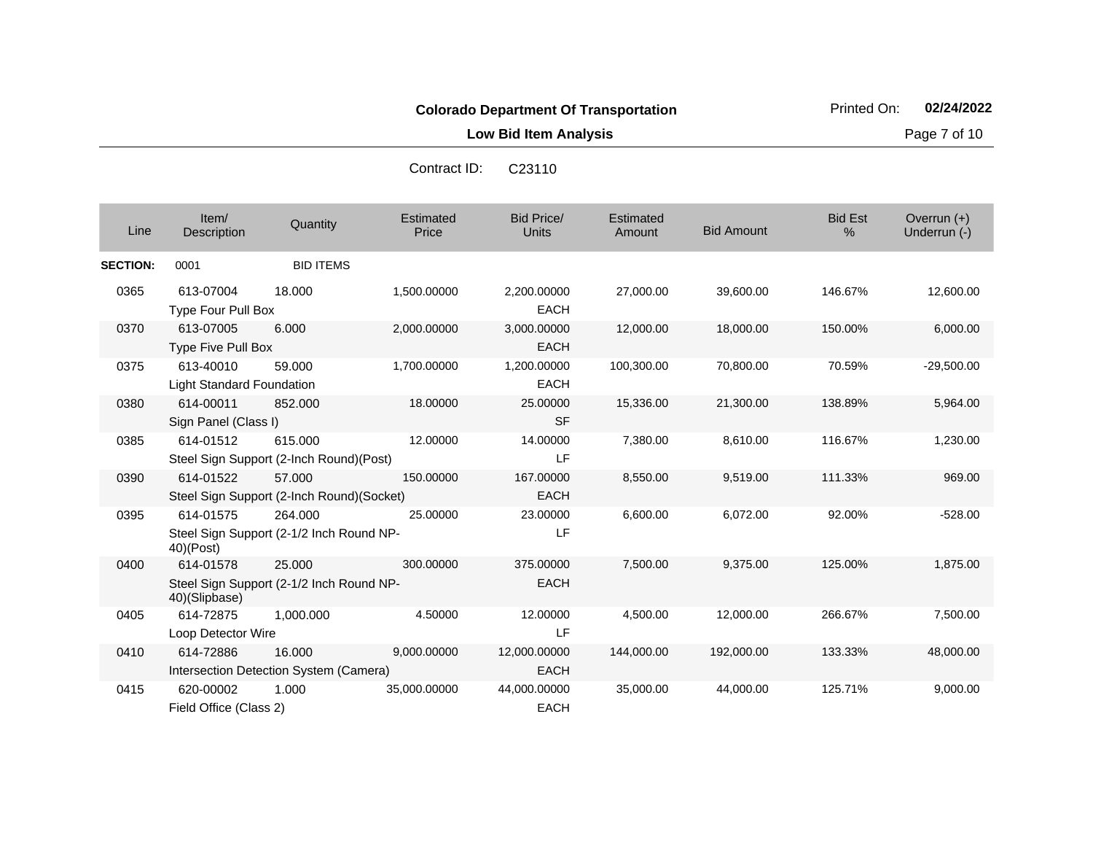Contract ID: C23110

**Low Bid Item Analysis Page 7 of 10** 

| Line            | Item/<br>Description                   | Quantity                                            | Estimated<br>Price | <b>Bid Price/</b><br>Units  | Estimated<br>Amount | <b>Bid Amount</b> | <b>Bid Est</b><br>% | Overrun $(+)$<br>Underrun (-) |
|-----------------|----------------------------------------|-----------------------------------------------------|--------------------|-----------------------------|---------------------|-------------------|---------------------|-------------------------------|
| <b>SECTION:</b> | 0001                                   | <b>BID ITEMS</b>                                    |                    |                             |                     |                   |                     |                               |
| 0365            | 613-07004<br>Type Four Pull Box        | 18.000                                              | 1,500.00000        | 2,200.00000<br><b>EACH</b>  | 27,000.00           | 39,600.00         | 146.67%             | 12,600.00                     |
| 0370            | 613-07005<br>Type Five Pull Box        | 6.000                                               | 2,000.00000        | 3,000.00000<br><b>EACH</b>  | 12,000.00           | 18,000.00         | 150.00%             | 6,000.00                      |
| 0375            | 613-40010<br>Light Standard Foundation | 59,000                                              | 1,700.00000        | 1,200.00000<br><b>EACH</b>  | 100,300.00          | 70,800.00         | 70.59%              | $-29,500.00$                  |
| 0380            | 614-00011<br>Sign Panel (Class I)      | 852,000                                             | 18.00000           | 25.00000<br><b>SF</b>       | 15,336.00           | 21,300.00         | 138.89%             | 5,964.00                      |
| 0385            | 614-01512                              | 615.000<br>Steel Sign Support (2-Inch Round)(Post)  | 12.00000           | 14.00000<br>LF              | 7,380.00            | 8,610.00          | 116.67%             | 1,230.00                      |
| 0390            | 614-01522                              | 57,000<br>Steel Sign Support (2-Inch Round)(Socket) | 150.00000          | 167.00000<br><b>EACH</b>    | 8,550.00            | 9,519.00          | 111.33%             | 969.00                        |
| 0395            | 614-01575<br>40)(Post)                 | 264.000<br>Steel Sign Support (2-1/2 Inch Round NP- | 25,00000           | 23.00000<br>LF              | 6,600.00            | 6,072.00          | 92.00%              | $-528.00$                     |
| 0400            | 614-01578<br>40)(Slipbase)             | 25.000<br>Steel Sign Support (2-1/2 Inch Round NP-  | 300.00000          | 375,00000<br><b>EACH</b>    | 7,500.00            | 9,375.00          | 125.00%             | 1,875.00                      |
| 0405            | 614-72875<br>Loop Detector Wire        | 1.000.000                                           | 4.50000            | 12.00000<br>LF              | 4,500.00            | 12,000.00         | 266.67%             | 7,500.00                      |
| 0410            | 614-72886                              | 16.000<br>Intersection Detection System (Camera)    | 9,000.00000        | 12,000.00000<br><b>EACH</b> | 144,000.00          | 192,000.00        | 133.33%             | 48,000.00                     |
| 0415            | 620-00002<br>Field Office (Class 2)    | 1.000                                               | 35,000.00000       | 44,000.00000<br><b>EACH</b> | 35,000.00           | 44,000.00         | 125.71%             | 9,000.00                      |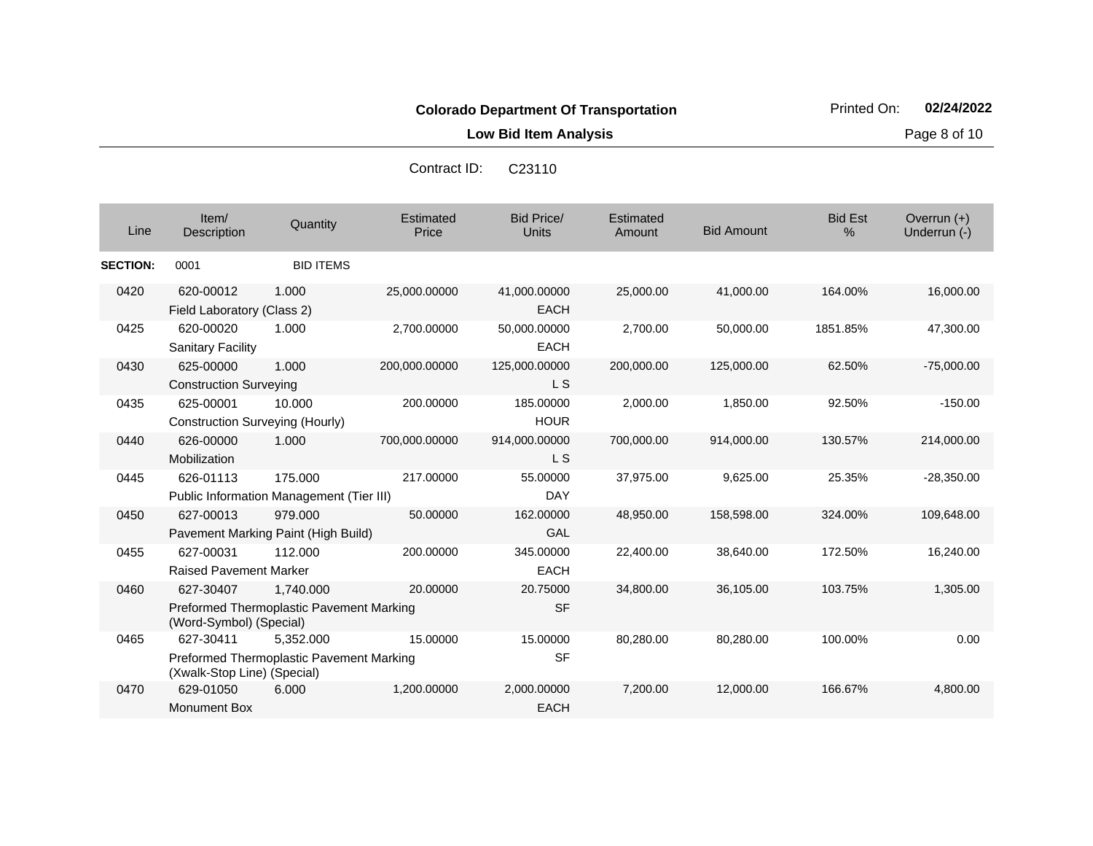**Low Bid Item Analysis Page 8 of 10** 

| Line            | Item/<br><b>Description</b>                  | Quantity                                                     | Estimated<br>Price | <b>Bid Price/</b><br>Units  | <b>Estimated</b><br>Amount | <b>Bid Amount</b> | <b>Bid Est</b><br>% | Overrun $(+)$<br>Underrun (-) |
|-----------------|----------------------------------------------|--------------------------------------------------------------|--------------------|-----------------------------|----------------------------|-------------------|---------------------|-------------------------------|
| <b>SECTION:</b> | 0001                                         | <b>BID ITEMS</b>                                             |                    |                             |                            |                   |                     |                               |
| 0420            | 620-00012<br>Field Laboratory (Class 2)      | 1.000                                                        | 25,000.00000       | 41,000.00000<br><b>EACH</b> | 25,000.00                  | 41,000.00         | 164.00%             | 16,000.00                     |
| 0425            | 620-00020<br><b>Sanitary Facility</b>        | 1.000                                                        | 2,700.00000        | 50,000.00000<br><b>EACH</b> | 2,700.00                   | 50,000.00         | 1851.85%            | 47,300.00                     |
| 0430            | 625-00000<br><b>Construction Surveying</b>   | 1.000                                                        | 200,000.00000      | 125,000.00000<br>L S        | 200,000.00                 | 125,000.00        | 62.50%              | $-75,000.00$                  |
| 0435            | 625-00001<br>Construction Surveying (Hourly) | 10.000                                                       | 200.00000          | 185.00000<br><b>HOUR</b>    | 2,000.00                   | 1,850.00          | 92.50%              | $-150.00$                     |
| 0440            | 626-00000<br>Mobilization                    | 1.000                                                        | 700,000.00000      | 914,000.00000<br><b>LS</b>  | 700,000.00                 | 914,000.00        | 130.57%             | 214,000.00                    |
| 0445            | 626-01113                                    | 175.000<br>Public Information Management (Tier III)          | 217.00000          | 55.00000<br>DAY             | 37,975.00                  | 9,625.00          | 25.35%              | $-28,350.00$                  |
| 0450            | 627-00013                                    | 979.000<br>Pavement Marking Paint (High Build)               | 50.00000           | 162.00000<br>GAL            | 48,950.00                  | 158,598.00        | 324.00%             | 109,648.00                    |
| 0455            | 627-00031<br><b>Raised Pavement Marker</b>   | 112.000                                                      | 200.00000          | 345.00000<br><b>EACH</b>    | 22,400.00                  | 38,640.00         | 172.50%             | 16,240.00                     |
| 0460            | 627-30407<br>(Word-Symbol) (Special)         | 1,740.000<br>Preformed Thermoplastic Pavement Marking        | 20.00000           | 20.75000<br><b>SF</b>       | 34,800.00                  | 36,105.00         | 103.75%             | 1,305.00                      |
| 0465            | 627-30411<br>(Xwalk-Stop Line) (Special)     | 5.352.000<br><b>Preformed Thermoplastic Pavement Marking</b> | 15.00000           | 15.00000<br><b>SF</b>       | 80,280.00                  | 80.280.00         | 100.00%             | 0.00                          |
| 0470            | 629-01050<br>Monument Box                    | 6.000                                                        | 1,200.00000        | 2,000.00000<br><b>EACH</b>  | 7,200.00                   | 12,000.00         | 166.67%             | 4,800.00                      |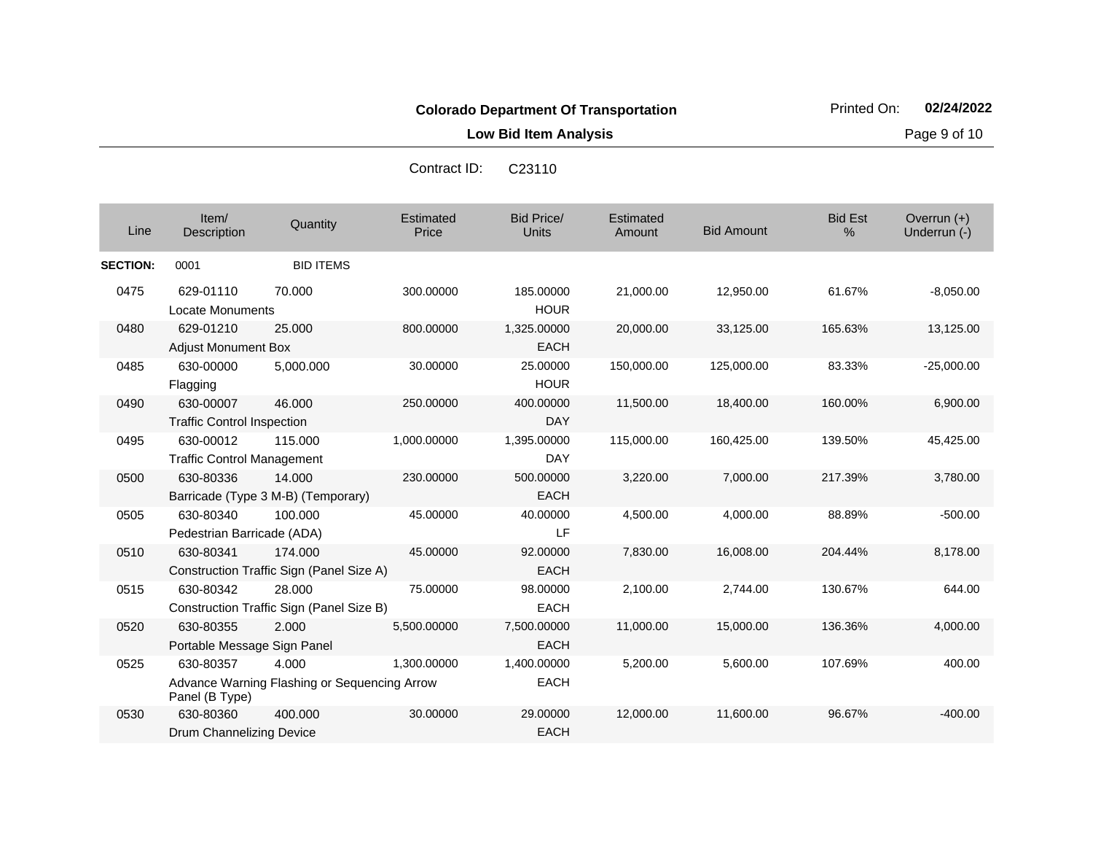**Low Bid Item Analysis Page 9 of 10** 

| Line            | Item/<br>Description                           | Quantity                                              | Estimated<br>Price | <b>Bid Price/</b><br><b>Units</b> | Estimated<br>Amount | <b>Bid Amount</b> | <b>Bid Est</b><br>% | Overrun (+)<br>Underrun (-) |
|-----------------|------------------------------------------------|-------------------------------------------------------|--------------------|-----------------------------------|---------------------|-------------------|---------------------|-----------------------------|
| <b>SECTION:</b> | 0001                                           | <b>BID ITEMS</b>                                      |                    |                                   |                     |                   |                     |                             |
| 0475            | 629-01110<br><b>Locate Monuments</b>           | 70.000                                                | 300.00000          | 185.00000<br><b>HOUR</b>          | 21,000.00           | 12,950.00         | 61.67%              | $-8,050.00$                 |
| 0480            | 629-01210<br><b>Adjust Monument Box</b>        | 25.000                                                | 800.00000          | 1,325.00000<br><b>EACH</b>        | 20,000.00           | 33,125.00         | 165.63%             | 13,125.00                   |
| 0485            | 630-00000<br>Flagging                          | 5,000.000                                             | 30.00000           | 25.00000<br><b>HOUR</b>           | 150,000.00          | 125,000.00        | 83.33%              | $-25,000.00$                |
| 0490            | 630-00007<br><b>Traffic Control Inspection</b> | 46.000                                                | 250.00000          | 400.00000<br><b>DAY</b>           | 11,500.00           | 18,400.00         | 160.00%             | 6,900.00                    |
| 0495            | 630-00012<br><b>Traffic Control Management</b> | 115,000                                               | 1,000.00000        | 1,395.00000<br><b>DAY</b>         | 115,000.00          | 160,425.00        | 139.50%             | 45,425.00                   |
| 0500            | 630-80336                                      | 14.000<br>Barricade (Type 3 M-B) (Temporary)          | 230.00000          | 500.00000<br><b>EACH</b>          | 3,220.00            | 7,000.00          | 217.39%             | 3,780.00                    |
| 0505            | 630-80340<br>Pedestrian Barricade (ADA)        | 100.000                                               | 45.00000           | 40.00000<br>LF                    | 4,500.00            | 4,000.00          | 88.89%              | $-500.00$                   |
| 0510            | 630-80341                                      | 174.000<br>Construction Traffic Sign (Panel Size A)   | 45.00000           | 92.00000<br><b>EACH</b>           | 7,830.00            | 16,008.00         | 204.44%             | 8,178.00                    |
| 0515            | 630-80342                                      | 28.000<br>Construction Traffic Sign (Panel Size B)    | 75.00000           | 98.00000<br><b>EACH</b>           | 2,100.00            | 2,744.00          | 130.67%             | 644.00                      |
| 0520            | 630-80355<br>Portable Message Sign Panel       | 2.000                                                 | 5,500.00000        | 7,500.00000<br><b>EACH</b>        | 11,000.00           | 15,000.00         | 136.36%             | 4,000.00                    |
| 0525            | 630-80357<br>Panel (B Type)                    | 4.000<br>Advance Warning Flashing or Sequencing Arrow | 1,300.00000        | 1,400.00000<br><b>EACH</b>        | 5,200.00            | 5,600.00          | 107.69%             | 400.00                      |
| 0530            | 630-80360<br>Drum Channelizing Device          | 400.000                                               | 30.00000           | 29.00000<br><b>EACH</b>           | 12,000.00           | 11,600.00         | 96.67%              | $-400.00$                   |